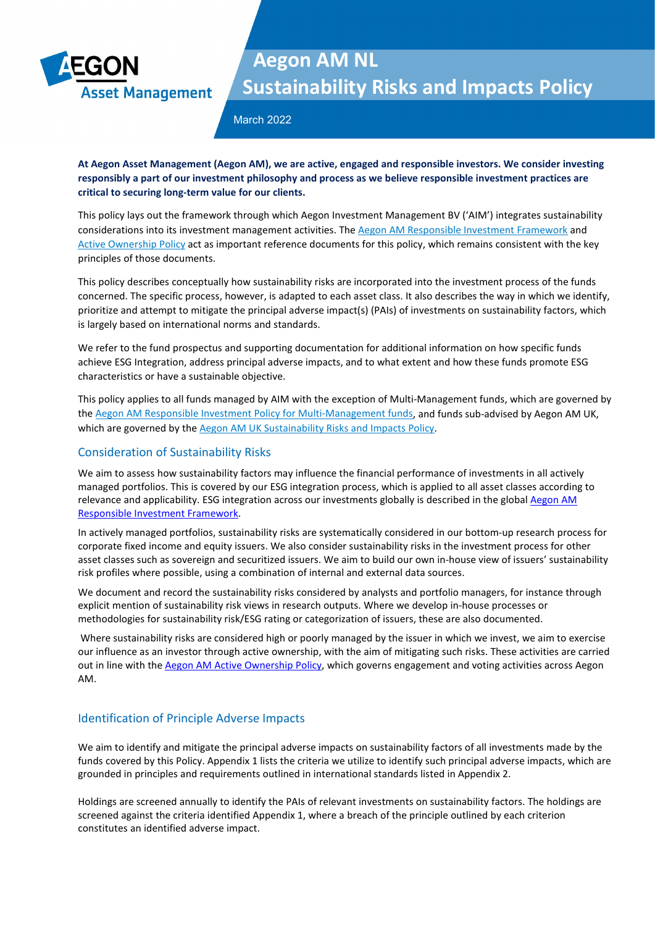

March 2022

**At Aegon Asset Management (Aegon AM), we are active, engaged and responsible investors. We consider investing responsibly a part of our investment philosophy and process as we believe responsible investment practices are critical to securing long-term value for our clients.** 

This policy lays out the framework through which Aegon Investment Management BV ('AIM') integrates sustainability considerations into its investment management activities. Th[e Aegon AM Responsible Investment Framework](https://www.aegonam.com/globalassets/aam/responsible-investment/documents/aegon-am-responsible-investment-framework.pdf) and [Active Ownership Policy](https://www.aegonam.com/globalassets/aam/responsible-investment/documents/aegon-am-active-ownership-policy.pdf) act as important reference documents for this policy, which remains consistent with the key principles of those documents.

This policy describes conceptually how sustainability risks are incorporated into the investment process of the funds concerned. The specific process, however, is adapted to each asset class. It also describes the way in which we identify, prioritize and attempt to mitigate the principal adverse impact(s) (PAIs) of investments on sustainability factors, which is largely based on international norms and standards.

We refer to the fund prospectus and supporting documentation for additional information on how specific funds achieve ESG Integration, address principal adverse impacts, and to what extent and how these funds promote ESG characteristics or have a sustainable objective.

This policy applies to all funds managed by AIM with the exception of Multi-Management funds, which are governed by th[e Aegon AM Responsible Investment Policy for Multi-Management funds,](https://www.aegonam.com/globalassets/aam/responsible-investment/documents/aegon-am-multi-management-responsible-investment-policy.pdf) and funds sub-advised by Aegon AM UK, which are governed by th[e Aegon AM UK Sustainability Risks and Impacts Policy.](https://www.aegonam.com/globalassets/aam/responsible-investment/documents/aegon-am-uk-sustainability-risks-and-impacts-policy-2021.pdf)

### Consideration of Sustainability Risks

We aim to assess how sustainability factors may influence the financial performance of investments in all actively managed portfolios. This is covered by our ESG integration process, which is applied to all asset classes according to relevance and applicability. ESG integration across our investments globally is described in the global Aegon AM [Responsible Investment Framework.](https://www.aegonam.com/globalassets/aam/responsible-investment/documents/aegon-am-responsible-investment-framework.pdf)

In actively managed portfolios, sustainability risks are systematically considered in our bottom-up research process for corporate fixed income and equity issuers. We also consider sustainability risks in the investment process for other asset classes such as sovereign and securitized issuers. We aim to build our own in-house view of issuers' sustainability risk profiles where possible, using a combination of internal and external data sources.

We document and record the sustainability risks considered by analysts and portfolio managers, for instance through explicit mention of sustainability risk views in research outputs. Where we develop in-house processes or methodologies for sustainability risk/ESG rating or categorization of issuers, these are also documented.

Where sustainability risks are considered high or poorly managed by the issuer in which we invest, we aim to exercise our influence as an investor through active ownership, with the aim of mitigating such risks. These activities are carried out in line with the [Aegon AM Active Ownership Policy,](https://www.aegonam.com/globalassets/aam/responsible-investment/documents/aegon-am-active-ownership-policy.pdf) which governs engagement and voting activities across Aegon AM.

### Identification of Principle Adverse Impacts

We aim to identify and mitigate the principal adverse impacts on sustainability factors of all investments made by the funds covered by this Policy. Appendix 1 lists the criteria we utilize to identify such principal adverse impacts, which are grounded in principles and requirements outlined in international standards listed in Appendix 2.

Holdings are screened annually to identify the PAIs of relevant investments on sustainability factors. The holdings are screened against the criteria identified Appendix 1, where a breach of the principle outlined by each criterion constitutes an identified adverse impact.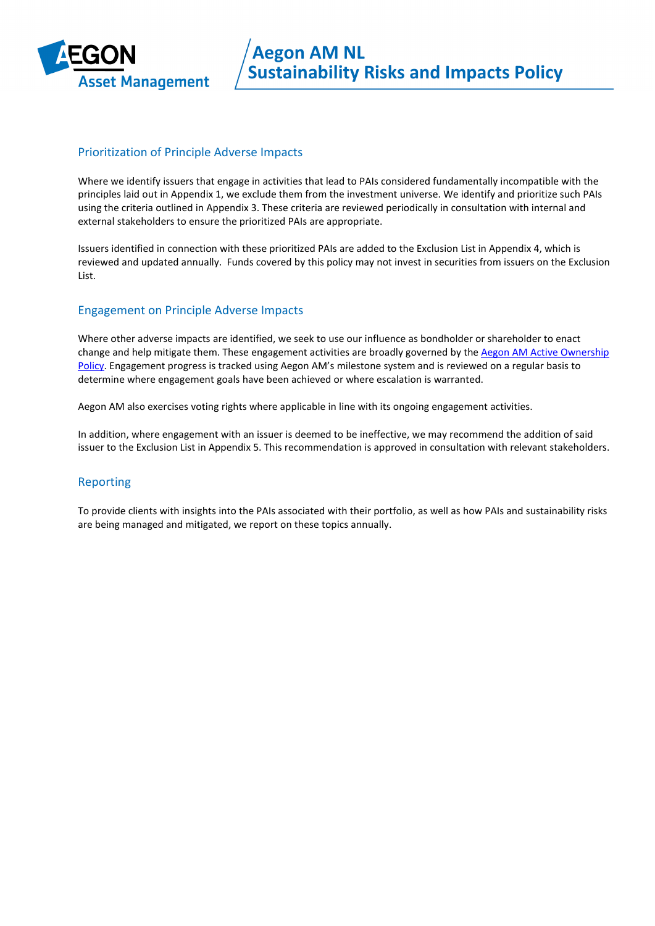

### Prioritization of Principle Adverse Impacts

Where we identify issuers that engage in activities that lead to PAIs considered fundamentally incompatible with the principles laid out in Appendix 1, we exclude them from the investment universe. We identify and prioritize such PAIs using the criteria outlined in Appendix 3. These criteria are reviewed periodically in consultation with internal and external stakeholders to ensure the prioritized PAIs are appropriate.

Issuers identified in connection with these prioritized PAIs are added to the Exclusion List in Appendix 4, which is reviewed and updated annually. Funds covered by this policy may not invest in securities from issuers on the Exclusion List.

### Engagement on Principle Adverse Impacts

Where other adverse impacts are identified, we seek to use our influence as bondholder or shareholder to enact change and help mitigate them. These engagement activities are broadly governed by the Aegon AM Active Ownership [Policy.](https://www.aegonam.com/globalassets/aam/responsible-investment/documents/aegon-am-active-ownership-policy.pdf) Engagement progress is tracked using Aegon AM's milestone system and is reviewed on a regular basis to determine where engagement goals have been achieved or where escalation is warranted.

Aegon AM also exercises voting rights where applicable in line with its ongoing engagement activities.

In addition, where engagement with an issuer is deemed to be ineffective, we may recommend the addition of said issuer to the Exclusion List in Appendix 5. This recommendation is approved in consultation with relevant stakeholders.

### Reporting

To provide clients with insights into the PAIs associated with their portfolio, as well as how PAIs and sustainability risks are being managed and mitigated, we report on these topics annually.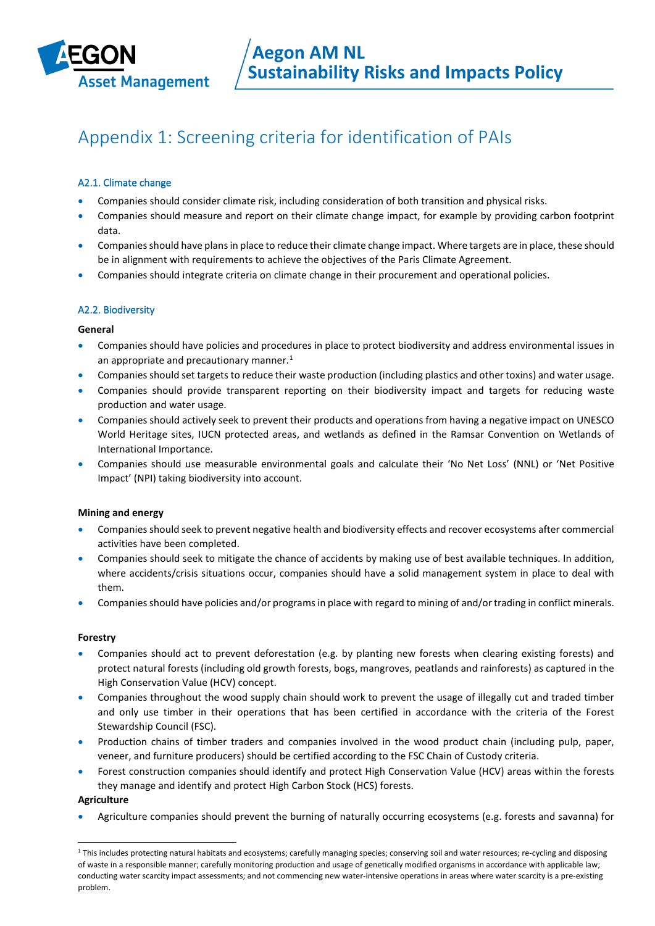

## Appendix 1: Screening criteria for identification of PAIs

### A2.1. Climate change

- Companies should consider climate risk, including consideration of both transition and physical risks.
- Companies should measure and report on their climate change impact, for example by providing carbon footprint data.
- Companies should have plans in place to reduce their climate change impact. Where targets are in place, these should be in alignment with requirements to achieve the objectives of the Paris Climate Agreement.
- Companies should integrate criteria on climate change in their procurement and operational policies.

### A2.2. Biodiversity

#### **General**

- Companies should have policies and procedures in place to protect biodiversity and address environmental issues in an appropriate and precautionary manner. $<sup>1</sup>$  $<sup>1</sup>$  $<sup>1</sup>$ </sup>
- Companies should set targets to reduce their waste production (including plastics and other toxins) and water usage.
- Companies should provide transparent reporting on their biodiversity impact and targets for reducing waste production and water usage.
- Companies should actively seek to prevent their products and operations from having a negative impact on UNESCO World Heritage sites, IUCN protected areas, and wetlands as defined in the Ramsar Convention on Wetlands of International Importance.
- Companies should use measurable environmental goals and calculate their 'No Net Loss' (NNL) or 'Net Positive Impact' (NPI) taking biodiversity into account.

### **Mining and energy**

- Companies should seek to prevent negative health and biodiversity effects and recover ecosystems after commercial activities have been completed.
- Companies should seek to mitigate the chance of accidents by making use of best available techniques. In addition, where accidents/crisis situations occur, companies should have a solid management system in place to deal with them.
- Companies should have policies and/or programs in place with regard to mining of and/or trading in conflict minerals.

#### **Forestry**

- Companies should act to prevent deforestation (e.g. by planting new forests when clearing existing forests) and protect natural forests (including old growth forests, bogs, mangroves, peatlands and rainforests) as captured in the High Conservation Value (HCV) concept.
- Companies throughout the wood supply chain should work to prevent the usage of illegally cut and traded timber and only use timber in their operations that has been certified in accordance with the criteria of the Forest Stewardship Council (FSC).
- Production chains of timber traders and companies involved in the wood product chain (including pulp, paper, veneer, and furniture producers) should be certified according to the FSC Chain of Custody criteria.
- Forest construction companies should identify and protect High Conservation Value (HCV) areas within the forests they manage and identify and protect High Carbon Stock (HCS) forests.

#### **Agriculture**

• Agriculture companies should prevent the burning of naturally occurring ecosystems (e.g. forests and savanna) for

<span id="page-2-0"></span><sup>&</sup>lt;sup>1</sup> This includes protecting natural habitats and ecosystems; carefully managing species; conserving soil and water resources; re-cycling and disposing of waste in a responsible manner; carefully monitoring production and usage of genetically modified organisms in accordance with applicable law; conducting water scarcity impact assessments; and not commencing new water-intensive operations in areas where water scarcity is a pre-existing problem.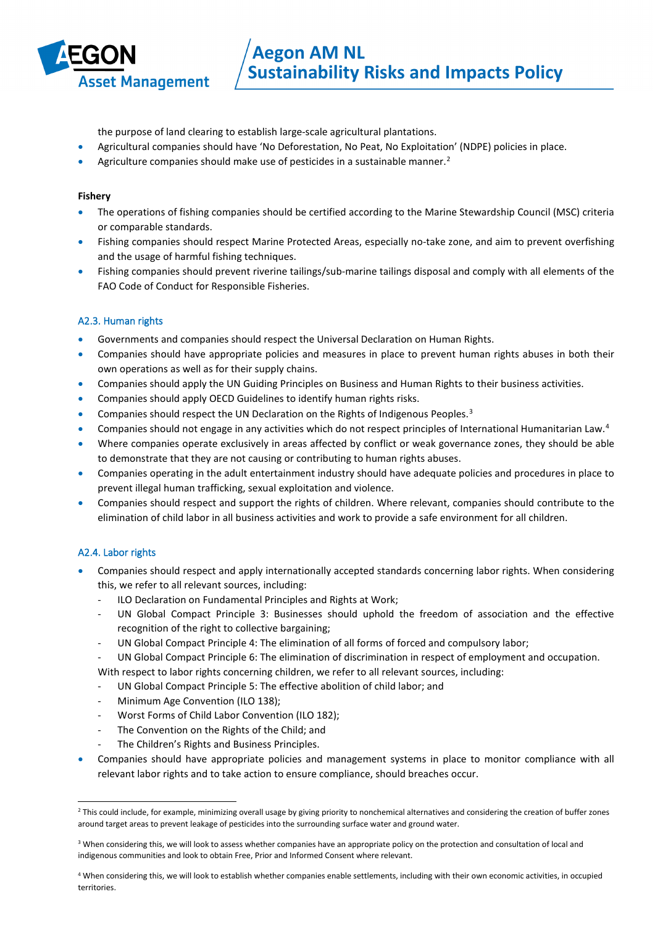

the purpose of land clearing to establish large-scale agricultural plantations.

- Agricultural companies should have 'No Deforestation, No Peat, No Exploitation' (NDPE) policies in place.
- Agriculture companies should make use of pesticides in a sustainable manner.<sup>[2](#page-3-0)</sup>

#### **Fishery**

- The operations of fishing companies should be certified according to the Marine Stewardship Council (MSC) criteria or comparable standards.
- Fishing companies should respect Marine Protected Areas, especially no-take zone, and aim to prevent overfishing and the usage of harmful fishing techniques.
- Fishing companies should prevent riverine tailings/sub-marine tailings disposal and comply with all elements of the FAO Code of Conduct for Responsible Fisheries.

### A2.3. Human rights

- Governments and companies should respect the Universal Declaration on Human Rights.
- Companies should have appropriate policies and measures in place to prevent human rights abuses in both their own operations as well as for their supply chains.
- Companies should apply the UN Guiding Principles on Business and Human Rights to their business activities.
- Companies should apply OECD Guidelines to identify human rights risks.
- Companies should respect the UN Declaration on the Rights of Indigenous Peoples.[3](#page-3-1)
- Companies should not engage in any activities which do not respect principles of International Humanitarian Law.[4](#page-3-2)
- Where companies operate exclusively in areas affected by conflict or weak governance zones, they should be able to demonstrate that they are not causing or contributing to human rights abuses.
- Companies operating in the adult entertainment industry should have adequate policies and procedures in place to prevent illegal human trafficking, sexual exploitation and violence.
- Companies should respect and support the rights of children. Where relevant, companies should contribute to the elimination of child labor in all business activities and work to provide a safe environment for all children.

### A2.4. Labor rights

- Companies should respect and apply internationally accepted standards concerning labor rights. When considering this, we refer to all relevant sources, including:
	- ILO Declaration on Fundamental Principles and Rights at Work;
	- UN Global Compact Principle 3: Businesses should uphold the freedom of association and the effective recognition of the right to collective bargaining;
	- UN Global Compact Principle 4: The elimination of all forms of forced and compulsory labor;
	- UN Global Compact Principle 6: The elimination of discrimination in respect of employment and occupation.
	- With respect to labor rights concerning children, we refer to all relevant sources, including:
	- UN Global Compact Principle 5: The effective abolition of child labor; and
	- Minimum Age Convention (ILO 138);
	- Worst Forms of Child Labor Convention (ILO 182);
	- The Convention on the Rights of the Child; and
	- The Children's Rights and Business Principles.
- Companies should have appropriate policies and management systems in place to monitor compliance with all relevant labor rights and to take action to ensure compliance, should breaches occur.

<span id="page-3-0"></span><sup>&</sup>lt;sup>2</sup> This could include, for example, minimizing overall usage by giving priority to nonchemical alternatives and considering the creation of buffer zones around target areas to prevent leakage of pesticides into the surrounding surface water and ground water.

<span id="page-3-1"></span><sup>&</sup>lt;sup>3</sup> When considering this, we will look to assess whether companies have an appropriate policy on the protection and consultation of local and indigenous communities and look to obtain Free, Prior and Informed Consent where relevant.

<span id="page-3-2"></span><sup>4</sup> When considering this, we will look to establish whether companies enable settlements, including with their own economic activities, in occupied territories.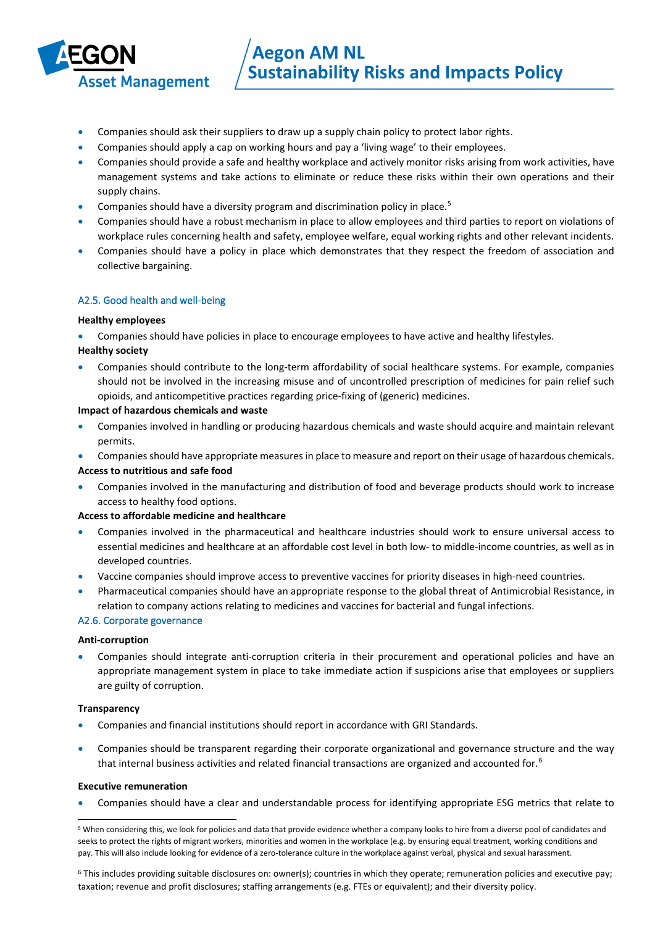

- Companies should ask their suppliers to draw up a supply chain policy to protect labor rights.
- Companies should apply a cap on working hours and pay a 'living wage' to their employees.
- Companies should provide a safe and healthy workplace and actively monitor risks arising from work activities, have management systems and take actions to eliminate or reduce these risks within their own operations and their supply chains.
- Companies should have a diversity program and discrimination policy in place.[5](#page-4-0)
- Companies should have a robust mechanism in place to allow employees and third parties to report on violations of workplace rules concerning health and safety, employee welfare, equal working rights and other relevant incidents.
- Companies should have a policy in place which demonstrates that they respect the freedom of association and collective bargaining.

#### A2.5. Good health and well-being

#### **Healthy employees**

- Companies should have policies in place to encourage employees to have active and healthy lifestyles.
- **Healthy society**
- Companies should contribute to the long-term affordability of social healthcare systems. For example, companies should not be involved in the increasing misuse and of uncontrolled prescription of medicines for pain relief such opioids, and anticompetitive practices regarding price-fixing of (generic) medicines.

#### **Impact of hazardous chemicals and waste**

- Companies involved in handling or producing hazardous chemicals and waste should acquire and maintain relevant permits.
- Companies should have appropriate measures in place to measure and report on their usage of hazardous chemicals. **Access to nutritious and safe food**
- Companies involved in the manufacturing and distribution of food and beverage products should work to increase access to healthy food options.

#### **Access to affordable medicine and healthcare**

- Companies involved in the pharmaceutical and healthcare industries should work to ensure universal access to essential medicines and healthcare at an affordable cost level in both low- to middle-income countries, as well as in developed countries.
- Vaccine companies should improve access to preventive vaccines for priority diseases in high-need countries.
- Pharmaceutical companies should have an appropriate response to the global threat of Antimicrobial Resistance, in relation to company actions relating to medicines and vaccines for bacterial and fungal infections.

#### A2.6. Corporate governance

#### **Anti-corruption**

• Companies should integrate anti-corruption criteria in their procurement and operational policies and have an appropriate management system in place to take immediate action if suspicions arise that employees or suppliers are guilty of corruption.

#### **Transparency**

- Companies and financial institutions should report in accordance with GRI Standards.
- Companies should be transparent regarding their corporate organizational and governance structure and the way that internal business activities and related financial transactions are organized and accounted for.<sup>[6](#page-4-1)</sup>

#### **Executive remuneration**

• Companies should have a clear and understandable process for identifying appropriate ESG metrics that relate to

<span id="page-4-1"></span><sup>6</sup> This includes providing suitable disclosures on: owner(s); countries in which they operate; remuneration policies and executive pay; taxation; revenue and profit disclosures; staffing arrangements (e.g. FTEs or equivalent); and their diversity policy.

<span id="page-4-0"></span><sup>5</sup> When considering this, we look for policies and data that provide evidence whether a company looks to hire from a diverse pool of candidates and seeks to protect the rights of migrant workers, minorities and women in the workplace (e.g. by ensuring equal treatment, working conditions and pay. This will also include looking for evidence of a zero-tolerance culture in the workplace against verbal, physical and sexual harassment.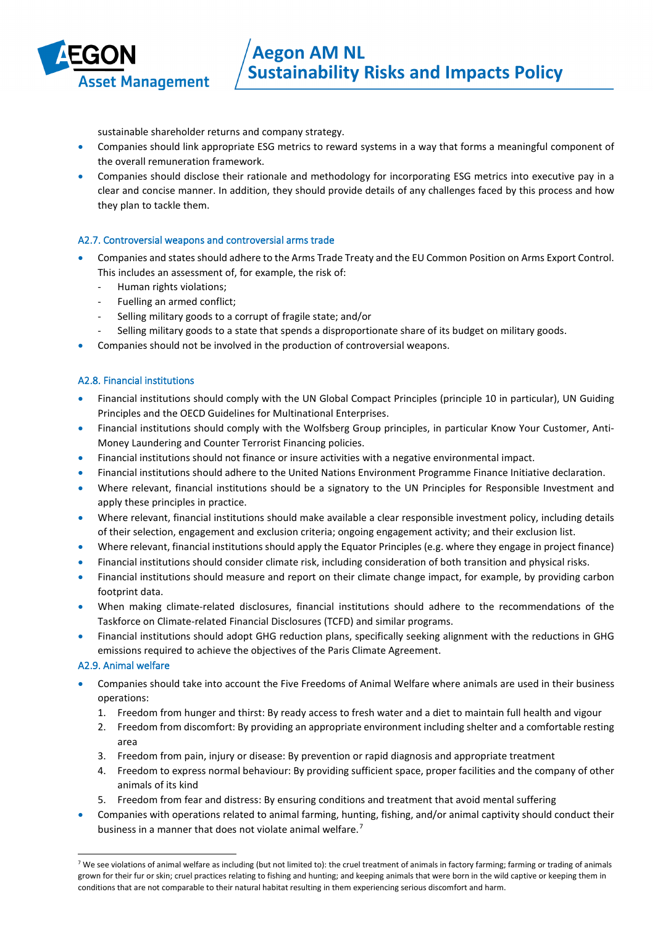

sustainable shareholder returns and company strategy.

- Companies should link appropriate ESG metrics to reward systems in a way that forms a meaningful component of the overall remuneration framework.
- Companies should disclose their rationale and methodology for incorporating ESG metrics into executive pay in a clear and concise manner. In addition, they should provide details of any challenges faced by this process and how they plan to tackle them.

### A2.7. Controversial weapons and controversial arms trade

- Companies and states should adhere to the Arms Trade Treaty and the EU Common Position on Arms Export Control. This includes an assessment of, for example, the risk of:
	- Human rights violations;
	- Fuelling an armed conflict;
	- Selling military goods to a corrupt of fragile state; and/or
	- Selling military goods to a state that spends a disproportionate share of its budget on military goods.
- Companies should not be involved in the production of controversial weapons.

#### A2.8. Financial institutions

- Financial institutions should comply with the UN Global Compact Principles (principle 10 in particular), UN Guiding Principles and the OECD Guidelines for Multinational Enterprises.
- Financial institutions should comply with the Wolfsberg Group principles, in particular Know Your Customer, Anti-Money Laundering and Counter Terrorist Financing policies.
- Financial institutions should not finance or insure activities with a negative environmental impact.
- Financial institutions should adhere to the United Nations Environment Programme Finance Initiative declaration.
- Where relevant, financial institutions should be a signatory to the UN Principles for Responsible Investment and apply these principles in practice.
- Where relevant, financial institutions should make available a clear responsible investment policy, including details of their selection, engagement and exclusion criteria; ongoing engagement activity; and their exclusion list.
- Where relevant, financial institutions should apply the Equator Principles (e.g. where they engage in project finance)
- Financial institutions should consider climate risk, including consideration of both transition and physical risks.
- Financial institutions should measure and report on their climate change impact, for example, by providing carbon footprint data.
- When making climate-related disclosures, financial institutions should adhere to the recommendations of the Taskforce on Climate-related Financial Disclosures (TCFD) and similar programs.
- Financial institutions should adopt GHG reduction plans, specifically seeking alignment with the reductions in GHG emissions required to achieve the objectives of the Paris Climate Agreement.

#### A2.9. Animal welfare

- Companies should take into account the Five Freedoms of Animal Welfare where animals are used in their business operations:
	- 1. Freedom from hunger and thirst: By ready access to fresh water and a diet to maintain full health and vigour
	- 2. Freedom from discomfort: By providing an appropriate environment including shelter and a comfortable resting area
	- 3. Freedom from pain, injury or disease: By prevention or rapid diagnosis and appropriate treatment
	- 4. Freedom to express normal behaviour: By providing sufficient space, proper facilities and the company of other animals of its kind
	- 5. Freedom from fear and distress: By ensuring conditions and treatment that avoid mental suffering
- Companies with operations related to animal farming, hunting, fishing, and/or animal captivity should conduct their business in a manner that does not violate animal welfare.<sup>[7](#page-5-0)</sup>

<span id="page-5-0"></span> $7$  We see violations of animal welfare as including (but not limited to): the cruel treatment of animals in factory farming; farming or trading of animals grown for their fur or skin; cruel practices relating to fishing and hunting; and keeping animals that were born in the wild captive or keeping them in conditions that are not comparable to their natural habitat resulting in them experiencing serious discomfort and harm.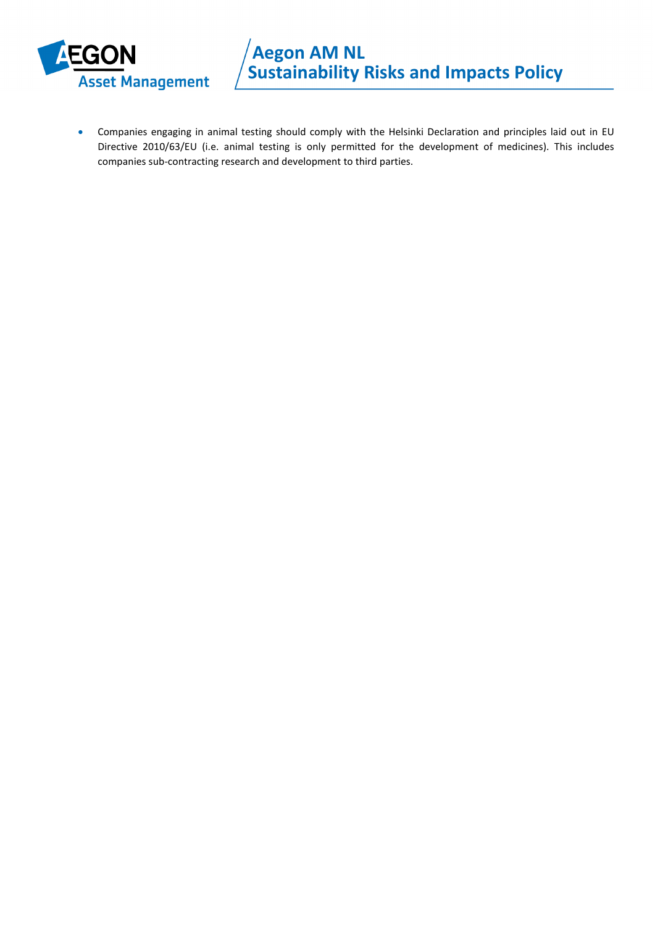

• Companies engaging in animal testing should comply with the Helsinki Declaration and principles laid out in EU Directive 2010/63/EU (i.e. animal testing is only permitted for the development of medicines). This includes companies sub-contracting research and development to third parties.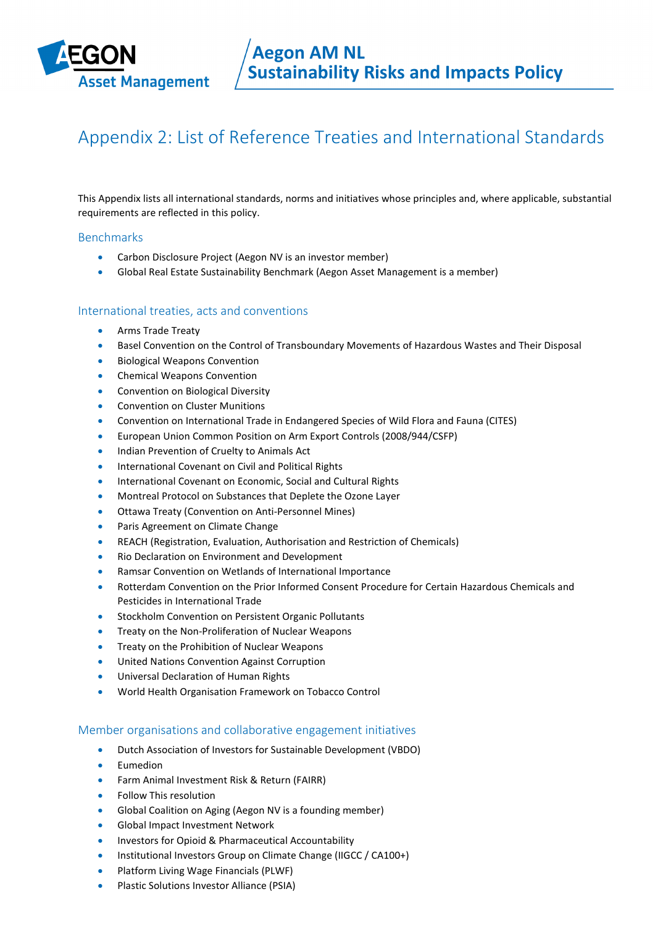

## Appendix 2: List of Reference Treaties and International Standards

This Appendix lists all international standards, norms and initiatives whose principles and, where applicable, substantial requirements are reflected in this policy.

#### **Benchmarks**

- Carbon Disclosure Project (Aegon NV is an investor member)
- Global Real Estate Sustainability Benchmark (Aegon Asset Management is a member)

#### International treaties, acts and conventions

- Arms Trade Treaty
- Basel Convention on the Control of Transboundary Movements of Hazardous Wastes and Their Disposal
- Biological Weapons Convention
- Chemical Weapons Convention
- Convention on Biological Diversity
- Convention on Cluster Munitions
- Convention on International Trade in Endangered Species of Wild Flora and Fauna (CITES)
- European Union Common Position on Arm Export Controls (2008/944/CSFP)
- Indian Prevention of Cruelty to Animals Act
- International Covenant on Civil and Political Rights
- International Covenant on Economic, Social and Cultural Rights
- Montreal Protocol on Substances that Deplete the Ozone Layer
- Ottawa Treaty (Convention on Anti-Personnel Mines)
- Paris Agreement on Climate Change
- REACH (Registration, Evaluation, Authorisation and Restriction of Chemicals)
- Rio Declaration on Environment and Development
- Ramsar Convention on Wetlands of International Importance
- Rotterdam Convention on the Prior Informed Consent Procedure for Certain Hazardous Chemicals and Pesticides in International Trade
- Stockholm Convention on Persistent Organic Pollutants
- Treaty on the Non-Proliferation of Nuclear Weapons
- Treaty on the Prohibition of Nuclear Weapons
- United Nations Convention Against Corruption
- Universal Declaration of Human Rights
- World Health Organisation Framework on Tobacco Control

#### Member organisations and collaborative engagement initiatives

- Dutch Association of Investors for Sustainable Development (VBDO)
- **Eumedion**
- Farm Animal Investment Risk & Return (FAIRR)
- Follow This resolution
- Global Coalition on Aging (Aegon NV is a founding member)
- Global Impact Investment Network
- Investors for Opioid & Pharmaceutical Accountability
- Institutional Investors Group on Climate Change (IIGCC / CA100+)
- Platform Living Wage Financials (PLWF)
- Plastic Solutions Investor Alliance (PSIA)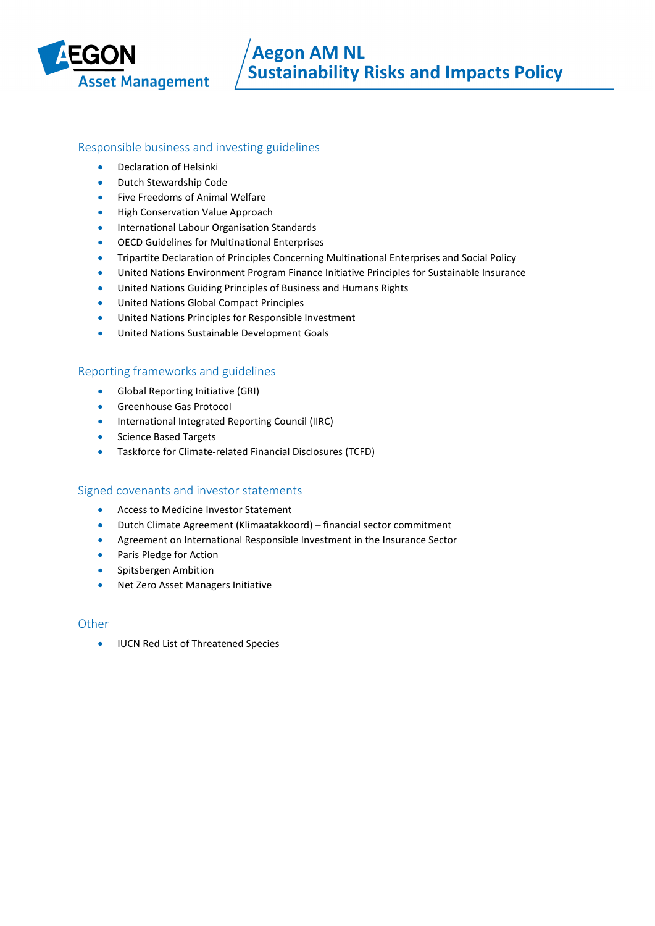

### Responsible business and investing guidelines

- Declaration of Helsinki
- Dutch Stewardship Code
- Five Freedoms of Animal Welfare
- High Conservation Value Approach
- International Labour Organisation Standards
- OECD Guidelines for Multinational Enterprises
- Tripartite Declaration of Principles Concerning Multinational Enterprises and Social Policy
- United Nations Environment Program Finance Initiative Principles for Sustainable Insurance
- United Nations Guiding Principles of Business and Humans Rights
- United Nations Global Compact Principles
- United Nations Principles for Responsible Investment
- United Nations Sustainable Development Goals

### Reporting frameworks and guidelines

- Global Reporting Initiative (GRI)
- Greenhouse Gas Protocol
- International Integrated Reporting Council (IIRC)
- Science Based Targets
- Taskforce for Climate-related Financial Disclosures (TCFD)

### Signed covenants and investor statements

- Access to Medicine Investor Statement
- Dutch Climate Agreement (Klimaatakkoord) financial sector commitment
- Agreement on International Responsible Investment in the Insurance Sector
- Paris Pledge for Action
- Spitsbergen Ambition
- Net Zero Asset Managers Initiative

### **Other**

• IUCN Red List of Threatened Species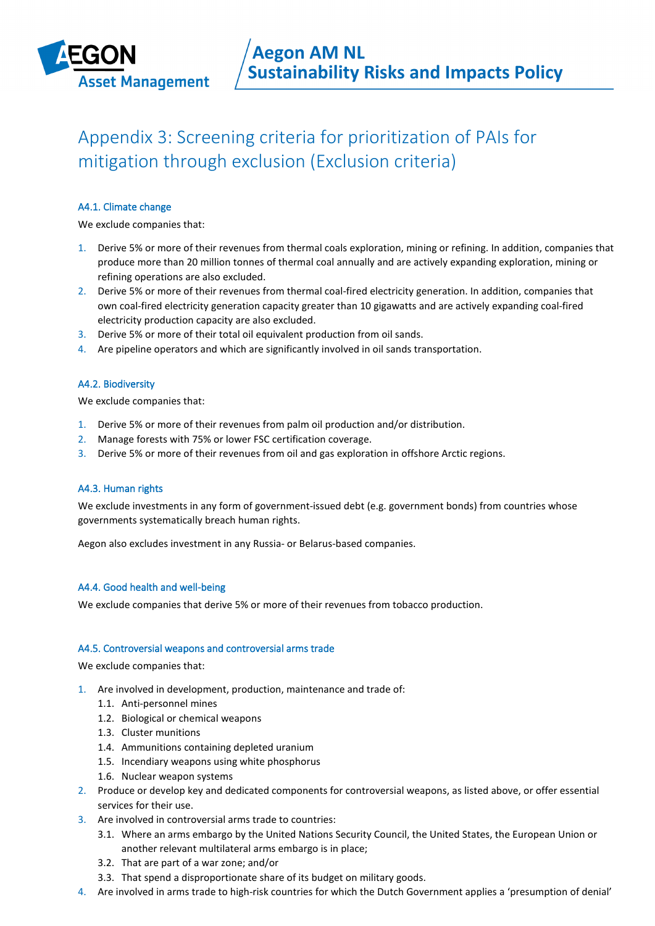

## Appendix 3: Screening criteria for prioritization of PAIs for mitigation through exclusion (Exclusion criteria)

### A4.1. Climate change

We exclude companies that:

- 1. Derive 5% or more of their revenues from thermal coals exploration, mining or refining. In addition, companies that produce more than 20 million tonnes of thermal coal annually and are actively expanding exploration, mining or refining operations are also excluded.
- 2. Derive 5% or more of their revenues from thermal coal-fired electricity generation. In addition, companies that own coal-fired electricity generation capacity greater than 10 gigawatts and are actively expanding coal-fired electricity production capacity are also excluded.
- 3. Derive 5% or more of their total oil equivalent production from oil sands.
- 4. Are pipeline operators and which are significantly involved in oil sands transportation.

#### A4.2. Biodiversity

We exclude companies that:

- 1. Derive 5% or more of their revenues from palm oil production and/or distribution.
- 2. Manage forests with 75% or lower FSC certification coverage.
- 3. Derive 5% or more of their revenues from oil and gas exploration in offshore Arctic regions.

#### A4.3. Human rights

We exclude investments in any form of government-issued debt (e.g. government bonds) from countries whose governments systematically breach human rights.

Aegon also excludes investment in any Russia- or Belarus-based companies.

#### A4.4. Good health and well-being

We exclude companies that derive 5% or more of their revenues from tobacco production.

#### A4.5. Controversial weapons and controversial arms trade

We exclude companies that:

- 1. Are involved in development, production, maintenance and trade of:
	- 1.1. Anti-personnel mines
	- 1.2. Biological or chemical weapons
	- 1.3. Cluster munitions
	- 1.4. Ammunitions containing depleted uranium
	- 1.5. Incendiary weapons using white phosphorus
	- 1.6. Nuclear weapon systems
- 2. Produce or develop key and dedicated components for controversial weapons, as listed above, or offer essential services for their use.
- 3. Are involved in controversial arms trade to countries:
	- 3.1. Where an arms embargo by the United Nations Security Council, the United States, the European Union or another relevant multilateral arms embargo is in place;
	- 3.2. That are part of a war zone; and/or
	- 3.3. That spend a disproportionate share of its budget on military goods.
- 4. Are involved in arms trade to high-risk countries for which the Dutch Government applies a 'presumption of denial'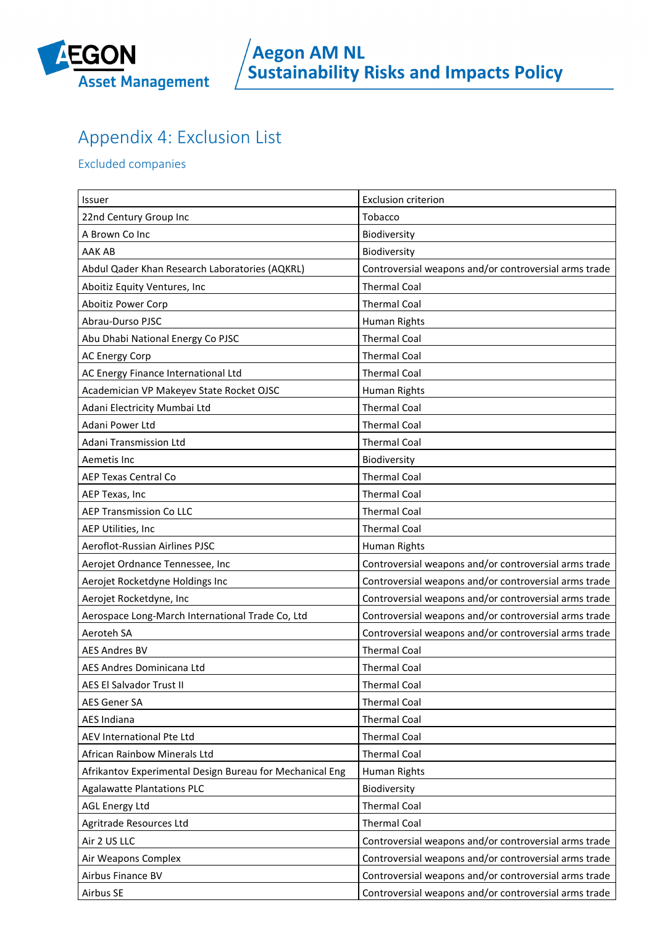

## Appendix 4: Exclusion List

Excluded companies

| Issuer                                                   | <b>Exclusion criterion</b>                            |
|----------------------------------------------------------|-------------------------------------------------------|
| 22nd Century Group Inc                                   | Tobacco                                               |
| A Brown Co Inc                                           | Biodiversity                                          |
| AAK AB                                                   | Biodiversity                                          |
| Abdul Qader Khan Research Laboratories (AQKRL)           | Controversial weapons and/or controversial arms trade |
| Aboitiz Equity Ventures, Inc                             | <b>Thermal Coal</b>                                   |
| Aboitiz Power Corp                                       | <b>Thermal Coal</b>                                   |
| Abrau-Durso PJSC                                         | Human Rights                                          |
| Abu Dhabi National Energy Co PJSC                        | <b>Thermal Coal</b>                                   |
| <b>AC Energy Corp</b>                                    | <b>Thermal Coal</b>                                   |
| AC Energy Finance International Ltd                      | <b>Thermal Coal</b>                                   |
| Academician VP Makeyev State Rocket OJSC                 | Human Rights                                          |
| Adani Electricity Mumbai Ltd                             | <b>Thermal Coal</b>                                   |
| Adani Power Ltd                                          | <b>Thermal Coal</b>                                   |
| Adani Transmission Ltd                                   | <b>Thermal Coal</b>                                   |
| Aemetis Inc                                              | Biodiversity                                          |
| <b>AEP Texas Central Co</b>                              | <b>Thermal Coal</b>                                   |
| AEP Texas, Inc                                           | <b>Thermal Coal</b>                                   |
| <b>AEP Transmission Co LLC</b>                           | <b>Thermal Coal</b>                                   |
| AEP Utilities, Inc                                       | <b>Thermal Coal</b>                                   |
| Aeroflot-Russian Airlines PJSC                           | Human Rights                                          |
| Aerojet Ordnance Tennessee, Inc                          | Controversial weapons and/or controversial arms trade |
| Aerojet Rocketdyne Holdings Inc                          | Controversial weapons and/or controversial arms trade |
| Aerojet Rocketdyne, Inc                                  | Controversial weapons and/or controversial arms trade |
| Aerospace Long-March International Trade Co, Ltd         | Controversial weapons and/or controversial arms trade |
| Aeroteh SA                                               | Controversial weapons and/or controversial arms trade |
| <b>AES Andres BV</b>                                     | <b>Thermal Coal</b>                                   |
| AES Andres Dominicana Ltd                                | <b>Thermal Coal</b>                                   |
| AES El Salvador Trust II                                 | <b>Thermal Coal</b>                                   |
| <b>AES Gener SA</b>                                      | <b>Thermal Coal</b>                                   |
| <b>AES Indiana</b>                                       | <b>Thermal Coal</b>                                   |
| AEV International Pte Ltd                                | <b>Thermal Coal</b>                                   |
| African Rainbow Minerals Ltd                             | <b>Thermal Coal</b>                                   |
| Afrikantov Experimental Design Bureau for Mechanical Eng | Human Rights                                          |
| <b>Agalawatte Plantations PLC</b>                        | Biodiversity                                          |
| <b>AGL Energy Ltd</b>                                    | <b>Thermal Coal</b>                                   |
| Agritrade Resources Ltd                                  | <b>Thermal Coal</b>                                   |
| Air 2 US LLC                                             | Controversial weapons and/or controversial arms trade |
| Air Weapons Complex                                      | Controversial weapons and/or controversial arms trade |
| Airbus Finance BV                                        | Controversial weapons and/or controversial arms trade |
| Airbus SE                                                | Controversial weapons and/or controversial arms trade |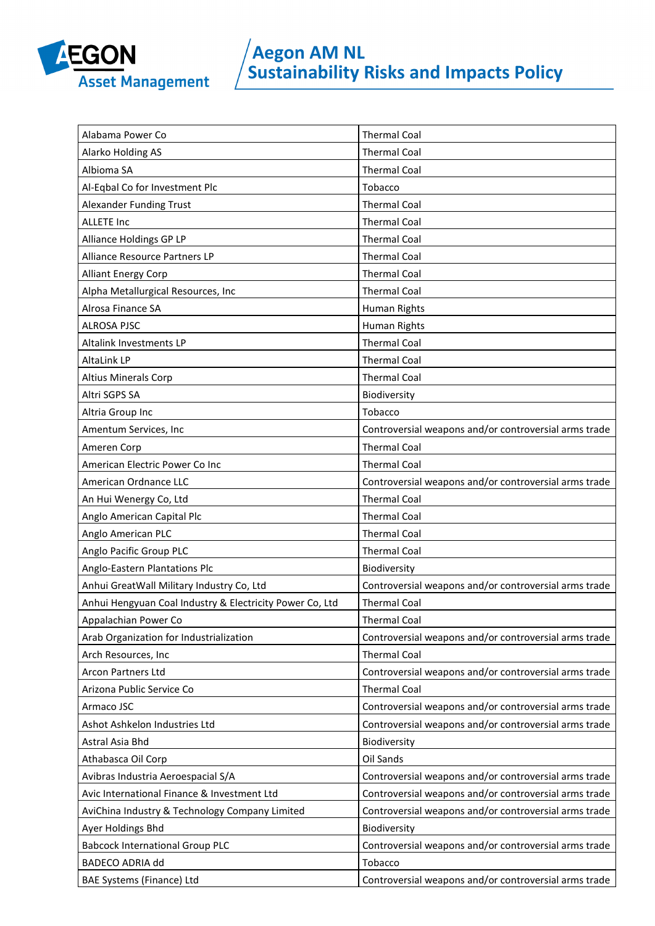

| Alabama Power Co                                         | <b>Thermal Coal</b>                                   |
|----------------------------------------------------------|-------------------------------------------------------|
| Alarko Holding AS                                        | <b>Thermal Coal</b>                                   |
| Albioma SA                                               | <b>Thermal Coal</b>                                   |
| Al-Eqbal Co for Investment Plc                           | Tobacco                                               |
| Alexander Funding Trust                                  | <b>Thermal Coal</b>                                   |
| <b>ALLETE Inc</b>                                        | <b>Thermal Coal</b>                                   |
| Alliance Holdings GP LP                                  | <b>Thermal Coal</b>                                   |
| <b>Alliance Resource Partners LP</b>                     | <b>Thermal Coal</b>                                   |
| <b>Alliant Energy Corp</b>                               | <b>Thermal Coal</b>                                   |
| Alpha Metallurgical Resources, Inc                       | <b>Thermal Coal</b>                                   |
| Alrosa Finance SA                                        | Human Rights                                          |
| <b>ALROSA PJSC</b>                                       | Human Rights                                          |
| Altalink Investments LP                                  | <b>Thermal Coal</b>                                   |
| AltaLink LP                                              | <b>Thermal Coal</b>                                   |
| <b>Altius Minerals Corp</b>                              | <b>Thermal Coal</b>                                   |
| Altri SGPS SA                                            | Biodiversity                                          |
| Altria Group Inc                                         | Tobacco                                               |
| Amentum Services, Inc                                    | Controversial weapons and/or controversial arms trade |
| Ameren Corp                                              | <b>Thermal Coal</b>                                   |
| American Electric Power Co Inc                           | <b>Thermal Coal</b>                                   |
| American Ordnance LLC                                    | Controversial weapons and/or controversial arms trade |
| An Hui Wenergy Co, Ltd                                   | <b>Thermal Coal</b>                                   |
| Anglo American Capital Plc                               | <b>Thermal Coal</b>                                   |
| Anglo American PLC                                       | <b>Thermal Coal</b>                                   |
| Anglo Pacific Group PLC                                  | <b>Thermal Coal</b>                                   |
| Anglo-Eastern Plantations Plc                            | Biodiversity                                          |
| Anhui GreatWall Military Industry Co, Ltd                | Controversial weapons and/or controversial arms trade |
| Anhui Hengyuan Coal Industry & Electricity Power Co, Ltd | <b>Thermal Coal</b>                                   |
| Appalachian Power Co                                     | <b>Thermal Coal</b>                                   |
| Arab Organization for Industrialization                  | Controversial weapons and/or controversial arms trade |
| Arch Resources, Inc                                      | <b>Thermal Coal</b>                                   |
| Arcon Partners Ltd                                       | Controversial weapons and/or controversial arms trade |
| Arizona Public Service Co                                | <b>Thermal Coal</b>                                   |
| Armaco JSC                                               | Controversial weapons and/or controversial arms trade |
| Ashot Ashkelon Industries Ltd                            | Controversial weapons and/or controversial arms trade |
| Astral Asia Bhd                                          | Biodiversity                                          |
| Athabasca Oil Corp                                       | Oil Sands                                             |
| Avibras Industria Aeroespacial S/A                       | Controversial weapons and/or controversial arms trade |
| Avic International Finance & Investment Ltd              | Controversial weapons and/or controversial arms trade |
| AviChina Industry & Technology Company Limited           | Controversial weapons and/or controversial arms trade |
| Ayer Holdings Bhd                                        | Biodiversity                                          |
| <b>Babcock International Group PLC</b>                   | Controversial weapons and/or controversial arms trade |
| <b>BADECO ADRIA dd</b>                                   | Tobacco                                               |
| BAE Systems (Finance) Ltd                                | Controversial weapons and/or controversial arms trade |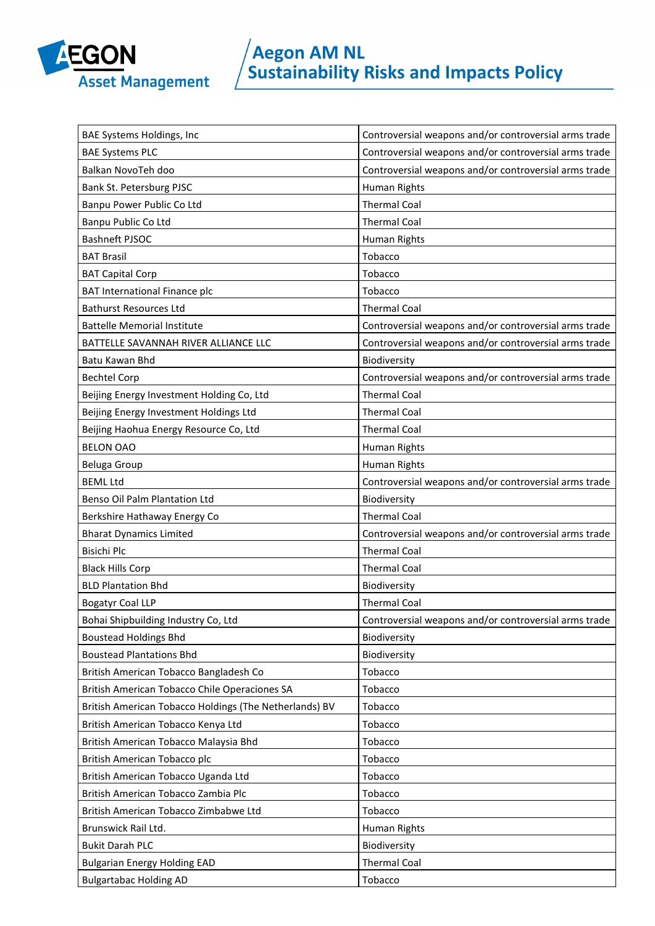

| BAE Systems Holdings, Inc                              | Controversial weapons and/or controversial arms trade |
|--------------------------------------------------------|-------------------------------------------------------|
| <b>BAE Systems PLC</b>                                 | Controversial weapons and/or controversial arms trade |
| Balkan NovoTeh doo                                     | Controversial weapons and/or controversial arms trade |
| Bank St. Petersburg PJSC                               | Human Rights                                          |
| Banpu Power Public Co Ltd                              | <b>Thermal Coal</b>                                   |
| Banpu Public Co Ltd                                    | <b>Thermal Coal</b>                                   |
| Bashneft PJSOC                                         | Human Rights                                          |
| <b>BAT Brasil</b>                                      | Tobacco                                               |
| <b>BAT Capital Corp</b>                                | Tobacco                                               |
| <b>BAT International Finance plc</b>                   | Tobacco                                               |
| <b>Bathurst Resources Ltd</b>                          | <b>Thermal Coal</b>                                   |
| <b>Battelle Memorial Institute</b>                     | Controversial weapons and/or controversial arms trade |
| BATTELLE SAVANNAH RIVER ALLIANCE LLC                   | Controversial weapons and/or controversial arms trade |
| Batu Kawan Bhd                                         | Biodiversity                                          |
| <b>Bechtel Corp</b>                                    | Controversial weapons and/or controversial arms trade |
| Beijing Energy Investment Holding Co, Ltd              | <b>Thermal Coal</b>                                   |
| Beijing Energy Investment Holdings Ltd                 | <b>Thermal Coal</b>                                   |
| Beijing Haohua Energy Resource Co, Ltd                 | <b>Thermal Coal</b>                                   |
| <b>BELON OAO</b>                                       | Human Rights                                          |
| <b>Beluga Group</b>                                    | Human Rights                                          |
| <b>BEML Ltd</b>                                        | Controversial weapons and/or controversial arms trade |
| Benso Oil Palm Plantation Ltd                          | Biodiversity                                          |
| Berkshire Hathaway Energy Co                           | <b>Thermal Coal</b>                                   |
| <b>Bharat Dynamics Limited</b>                         | Controversial weapons and/or controversial arms trade |
| <b>Bisichi Plc</b>                                     | <b>Thermal Coal</b>                                   |
| <b>Black Hills Corp</b>                                | <b>Thermal Coal</b>                                   |
| <b>BLD Plantation Bhd</b>                              | Biodiversity                                          |
| <b>Bogatyr Coal LLP</b>                                | <b>Thermal Coal</b>                                   |
| Bohai Shipbuilding Industry Co, Ltd                    | Controversial weapons and/or controversial arms trade |
| <b>Boustead Holdings Bhd</b>                           | Biodiversity                                          |
| <b>Boustead Plantations Bhd</b>                        | Biodiversity                                          |
| British American Tobacco Bangladesh Co                 | Tobacco                                               |
| British American Tobacco Chile Operaciones SA          | Tobacco                                               |
| British American Tobacco Holdings (The Netherlands) BV | Tobacco                                               |
| British American Tobacco Kenya Ltd                     | Tobacco                                               |
| British American Tobacco Malaysia Bhd                  | Tobacco                                               |
| British American Tobacco plc                           | Tobacco                                               |
| British American Tobacco Uganda Ltd                    | Tobacco                                               |
| British American Tobacco Zambia Plc                    | Tobacco                                               |
| British American Tobacco Zimbabwe Ltd                  | Tobacco                                               |
| Brunswick Rail Ltd.                                    | Human Rights                                          |
| <b>Bukit Darah PLC</b>                                 | Biodiversity                                          |
|                                                        |                                                       |
| <b>Bulgarian Energy Holding EAD</b>                    | <b>Thermal Coal</b>                                   |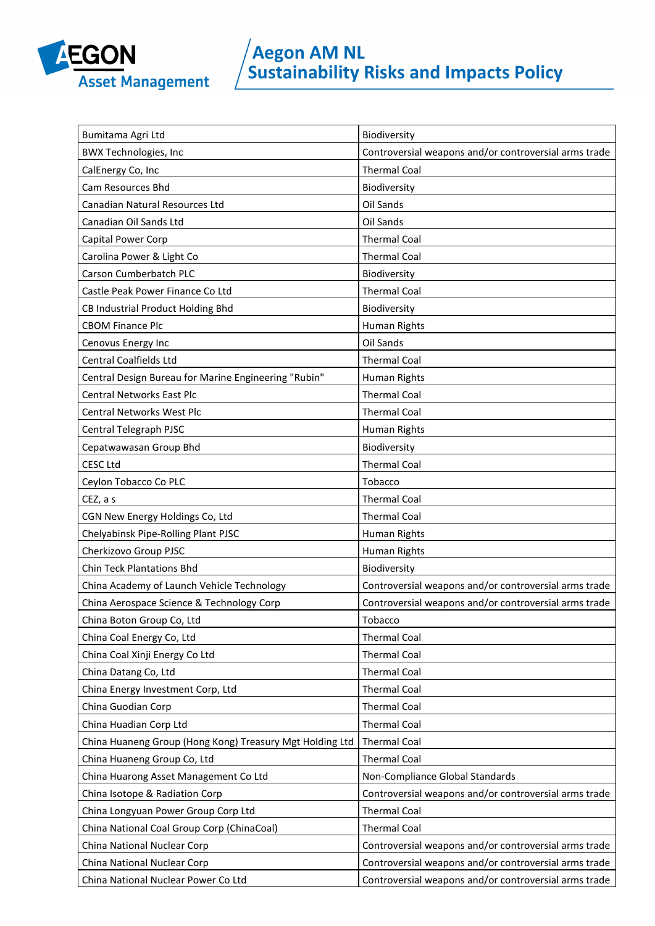

| Bumitama Agri Ltd                                        | Biodiversity                                          |
|----------------------------------------------------------|-------------------------------------------------------|
| <b>BWX Technologies, Inc</b>                             | Controversial weapons and/or controversial arms trade |
| CalEnergy Co, Inc                                        | <b>Thermal Coal</b>                                   |
| Cam Resources Bhd                                        | Biodiversity                                          |
| Canadian Natural Resources Ltd                           | Oil Sands                                             |
| Canadian Oil Sands Ltd                                   | Oil Sands                                             |
| Capital Power Corp                                       | <b>Thermal Coal</b>                                   |
| Carolina Power & Light Co                                | <b>Thermal Coal</b>                                   |
| Carson Cumberbatch PLC                                   | Biodiversity                                          |
| Castle Peak Power Finance Co Ltd                         | <b>Thermal Coal</b>                                   |
| CB Industrial Product Holding Bhd                        | Biodiversity                                          |
| <b>CBOM Finance Plc</b>                                  | Human Rights                                          |
| Cenovus Energy Inc                                       | Oil Sands                                             |
| <b>Central Coalfields Ltd</b>                            | <b>Thermal Coal</b>                                   |
| Central Design Bureau for Marine Engineering "Rubin"     | Human Rights                                          |
| <b>Central Networks East Plc</b>                         | <b>Thermal Coal</b>                                   |
| Central Networks West Plc                                | <b>Thermal Coal</b>                                   |
| Central Telegraph PJSC                                   | Human Rights                                          |
| Cepatwawasan Group Bhd                                   | Biodiversity                                          |
| <b>CESC Ltd</b>                                          | <b>Thermal Coal</b>                                   |
| Ceylon Tobacco Co PLC                                    | Tobacco                                               |
| CEZ, a s                                                 | <b>Thermal Coal</b>                                   |
| CGN New Energy Holdings Co, Ltd                          | <b>Thermal Coal</b>                                   |
| Chelyabinsk Pipe-Rolling Plant PJSC                      | Human Rights                                          |
| Cherkizovo Group PJSC                                    | Human Rights                                          |
| <b>Chin Teck Plantations Bhd</b>                         | Biodiversity                                          |
| China Academy of Launch Vehicle Technology               | Controversial weapons and/or controversial arms trade |
| China Aerospace Science & Technology Corp                | Controversial weapons and/or controversial arms trade |
| China Boton Group Co, Ltd                                | Tobacco                                               |
| China Coal Energy Co, Ltd                                | <b>Thermal Coal</b>                                   |
| China Coal Xinji Energy Co Ltd                           | <b>Thermal Coal</b>                                   |
| China Datang Co, Ltd                                     | <b>Thermal Coal</b>                                   |
| China Energy Investment Corp, Ltd                        | <b>Thermal Coal</b>                                   |
| China Guodian Corp                                       | <b>Thermal Coal</b>                                   |
| China Huadian Corp Ltd                                   | <b>Thermal Coal</b>                                   |
| China Huaneng Group (Hong Kong) Treasury Mgt Holding Ltd | <b>Thermal Coal</b>                                   |
| China Huaneng Group Co, Ltd                              | <b>Thermal Coal</b>                                   |
| China Huarong Asset Management Co Ltd                    | Non-Compliance Global Standards                       |
| China Isotope & Radiation Corp                           | Controversial weapons and/or controversial arms trade |
| China Longyuan Power Group Corp Ltd                      | <b>Thermal Coal</b>                                   |
| China National Coal Group Corp (ChinaCoal)               | <b>Thermal Coal</b>                                   |
| China National Nuclear Corp                              | Controversial weapons and/or controversial arms trade |
| China National Nuclear Corp                              | Controversial weapons and/or controversial arms trade |
| China National Nuclear Power Co Ltd                      | Controversial weapons and/or controversial arms trade |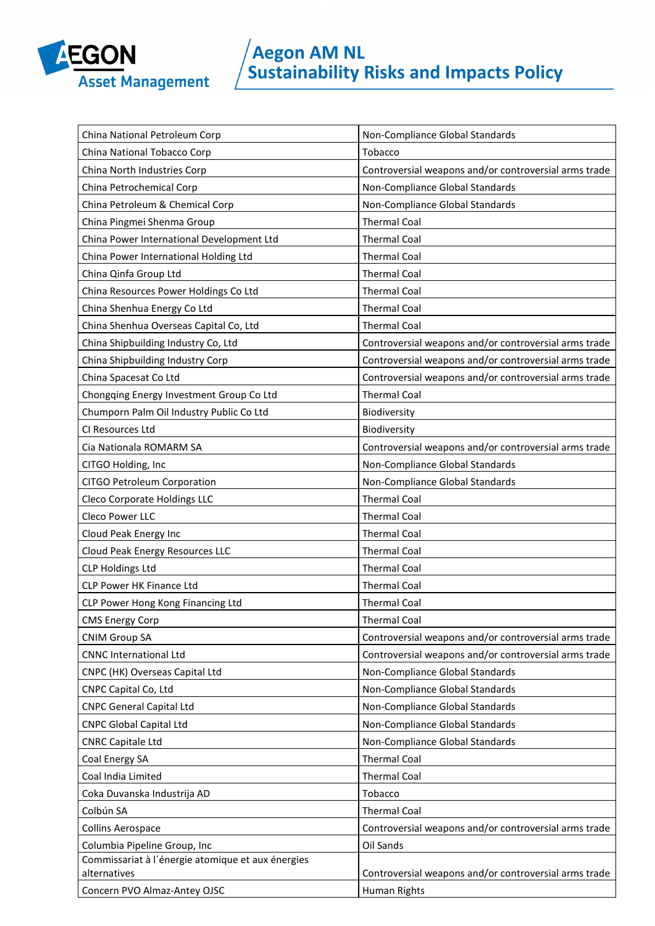

| China National Petroleum Corp                     | Non-Compliance Global Standards                       |
|---------------------------------------------------|-------------------------------------------------------|
| China National Tobacco Corp                       | Tobacco                                               |
| China North Industries Corp                       | Controversial weapons and/or controversial arms trade |
| China Petrochemical Corp                          | Non-Compliance Global Standards                       |
| China Petroleum & Chemical Corp                   | Non-Compliance Global Standards                       |
| China Pingmei Shenma Group                        | <b>Thermal Coal</b>                                   |
| China Power International Development Ltd         | <b>Thermal Coal</b>                                   |
| China Power International Holding Ltd             | <b>Thermal Coal</b>                                   |
| China Qinfa Group Ltd                             | <b>Thermal Coal</b>                                   |
| China Resources Power Holdings Co Ltd             | <b>Thermal Coal</b>                                   |
| China Shenhua Energy Co Ltd                       | <b>Thermal Coal</b>                                   |
| China Shenhua Overseas Capital Co, Ltd            | <b>Thermal Coal</b>                                   |
| China Shipbuilding Industry Co, Ltd               | Controversial weapons and/or controversial arms trade |
| China Shipbuilding Industry Corp                  | Controversial weapons and/or controversial arms trade |
| China Spacesat Co Ltd                             | Controversial weapons and/or controversial arms trade |
| Chongqing Energy Investment Group Co Ltd          | <b>Thermal Coal</b>                                   |
| Chumporn Palm Oil Industry Public Co Ltd          | Biodiversity                                          |
| CI Resources Ltd                                  | Biodiversity                                          |
| Cia Nationala ROMARM SA                           | Controversial weapons and/or controversial arms trade |
| CITGO Holding, Inc                                | Non-Compliance Global Standards                       |
| CITGO Petroleum Corporation                       | Non-Compliance Global Standards                       |
| Cleco Corporate Holdings LLC                      | <b>Thermal Coal</b>                                   |
| Cleco Power LLC                                   | <b>Thermal Coal</b>                                   |
| Cloud Peak Energy Inc                             | <b>Thermal Coal</b>                                   |
| Cloud Peak Energy Resources LLC                   | <b>Thermal Coal</b>                                   |
| <b>CLP Holdings Ltd</b>                           | <b>Thermal Coal</b>                                   |
| <b>CLP Power HK Finance Ltd</b>                   | <b>Thermal Coal</b>                                   |
| CLP Power Hong Kong Financing Ltd                 | <b>Thermal Coal</b>                                   |
| <b>CMS Energy Corp</b>                            | <b>Thermal Coal</b>                                   |
| <b>CNIM Group SA</b>                              | Controversial weapons and/or controversial arms trade |
| <b>CNNC International Ltd</b>                     | Controversial weapons and/or controversial arms trade |
| CNPC (HK) Overseas Capital Ltd                    | Non-Compliance Global Standards                       |
| CNPC Capital Co, Ltd                              | Non-Compliance Global Standards                       |
| <b>CNPC General Capital Ltd</b>                   | Non-Compliance Global Standards                       |
| <b>CNPC Global Capital Ltd</b>                    | Non-Compliance Global Standards                       |
| <b>CNRC Capitale Ltd</b>                          | Non-Compliance Global Standards                       |
| Coal Energy SA                                    | <b>Thermal Coal</b>                                   |
| Coal India Limited                                | <b>Thermal Coal</b>                                   |
| Coka Duvanska Industrija AD                       | Tobacco                                               |
| Colbún SA                                         | <b>Thermal Coal</b>                                   |
| <b>Collins Aerospace</b>                          | Controversial weapons and/or controversial arms trade |
| Columbia Pipeline Group, Inc                      | Oil Sands                                             |
| Commissariat à l'énergie atomique et aux énergies |                                                       |
| alternatives                                      | Controversial weapons and/or controversial arms trade |
| Concern PVO Almaz-Antey OJSC                      | Human Rights                                          |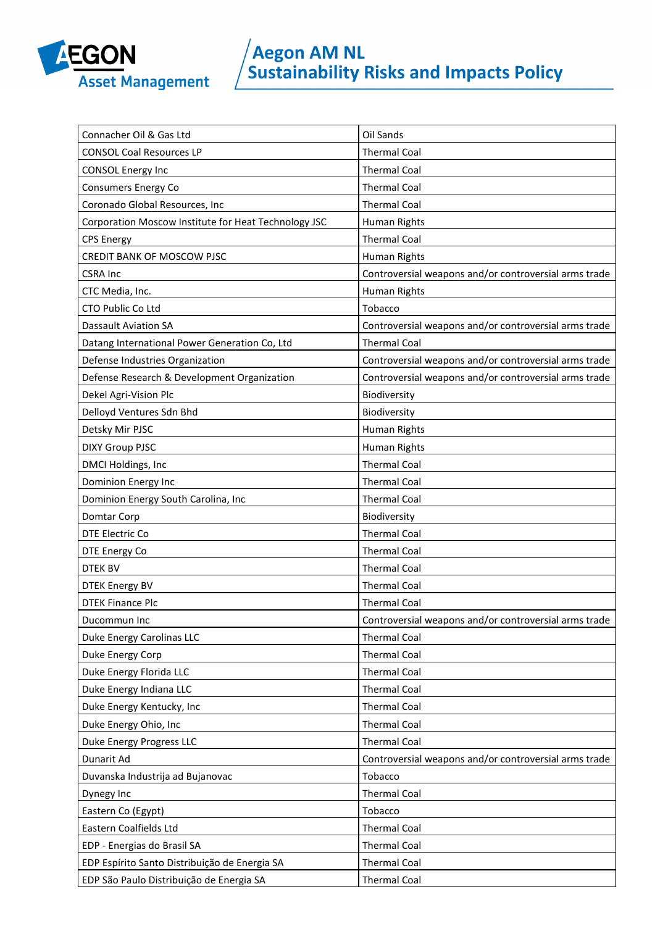

| Connacher Oil & Gas Ltd                              | Oil Sands                                             |
|------------------------------------------------------|-------------------------------------------------------|
| <b>CONSOL Coal Resources LP</b>                      | <b>Thermal Coal</b>                                   |
| <b>CONSOL Energy Inc</b>                             | <b>Thermal Coal</b>                                   |
| Consumers Energy Co                                  | <b>Thermal Coal</b>                                   |
| Coronado Global Resources, Inc                       | <b>Thermal Coal</b>                                   |
| Corporation Moscow Institute for Heat Technology JSC | Human Rights                                          |
| <b>CPS Energy</b>                                    | <b>Thermal Coal</b>                                   |
| CREDIT BANK OF MOSCOW PJSC                           | Human Rights                                          |
| <b>CSRA Inc</b>                                      | Controversial weapons and/or controversial arms trade |
| CTC Media, Inc.                                      | Human Rights                                          |
| CTO Public Co Ltd                                    | Tobacco                                               |
| <b>Dassault Aviation SA</b>                          | Controversial weapons and/or controversial arms trade |
| Datang International Power Generation Co, Ltd        | <b>Thermal Coal</b>                                   |
| Defense Industries Organization                      | Controversial weapons and/or controversial arms trade |
| Defense Research & Development Organization          | Controversial weapons and/or controversial arms trade |
| Dekel Agri-Vision Plc                                | Biodiversity                                          |
| Delloyd Ventures Sdn Bhd                             | Biodiversity                                          |
| Detsky Mir PJSC                                      | Human Rights                                          |
| <b>DIXY Group PJSC</b>                               | Human Rights                                          |
| DMCI Holdings, Inc                                   | <b>Thermal Coal</b>                                   |
| Dominion Energy Inc                                  | <b>Thermal Coal</b>                                   |
| Dominion Energy South Carolina, Inc                  | <b>Thermal Coal</b>                                   |
| Domtar Corp                                          | Biodiversity                                          |
| DTE Electric Co                                      | <b>Thermal Coal</b>                                   |
| DTE Energy Co                                        | <b>Thermal Coal</b>                                   |
| <b>DTEK BV</b>                                       | <b>Thermal Coal</b>                                   |
| <b>DTEK Energy BV</b>                                | <b>Thermal Coal</b>                                   |
| <b>DTEK Finance Plc</b>                              | <b>Thermal Coal</b>                                   |
| Ducommun Inc                                         | Controversial weapons and/or controversial arms trade |
| Duke Energy Carolinas LLC                            | <b>Thermal Coal</b>                                   |
| Duke Energy Corp                                     | <b>Thermal Coal</b>                                   |
| Duke Energy Florida LLC                              | <b>Thermal Coal</b>                                   |
| Duke Energy Indiana LLC                              | <b>Thermal Coal</b>                                   |
| Duke Energy Kentucky, Inc                            | <b>Thermal Coal</b>                                   |
| Duke Energy Ohio, Inc                                | <b>Thermal Coal</b>                                   |
| Duke Energy Progress LLC                             | <b>Thermal Coal</b>                                   |
| Dunarit Ad                                           | Controversial weapons and/or controversial arms trade |
| Duvanska Industrija ad Bujanovac                     | Tobacco                                               |
| Dynegy Inc                                           | <b>Thermal Coal</b>                                   |
| Eastern Co (Egypt)                                   | Tobacco                                               |
| Eastern Coalfields Ltd                               | <b>Thermal Coal</b>                                   |
| EDP - Energias do Brasil SA                          | <b>Thermal Coal</b>                                   |
| EDP Espírito Santo Distribuição de Energia SA        | <b>Thermal Coal</b>                                   |
| EDP São Paulo Distribuição de Energia SA             | <b>Thermal Coal</b>                                   |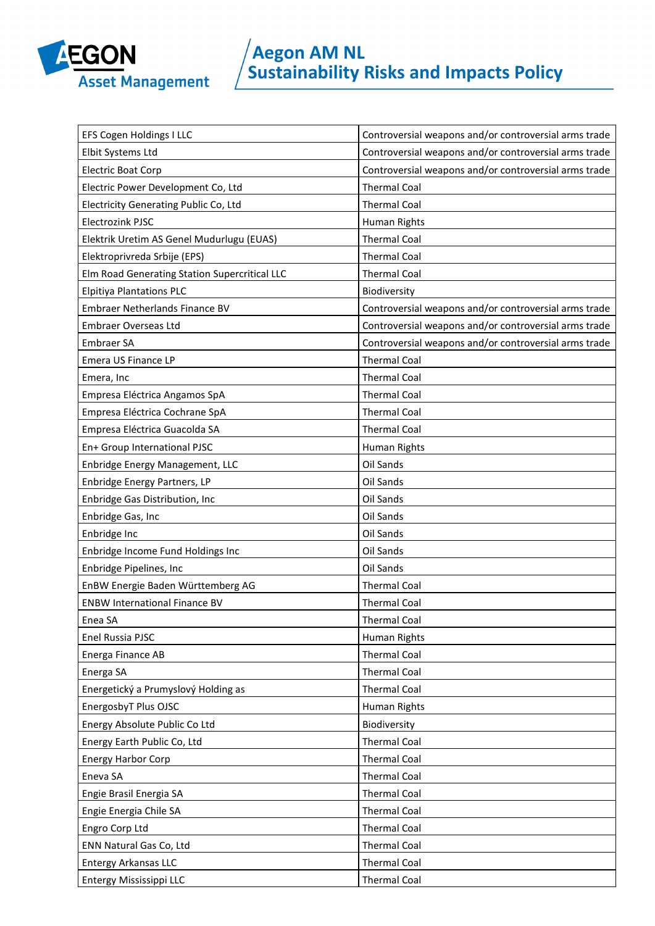

| EFS Cogen Holdings I LLC                      | Controversial weapons and/or controversial arms trade |
|-----------------------------------------------|-------------------------------------------------------|
| Elbit Systems Ltd                             | Controversial weapons and/or controversial arms trade |
| <b>Electric Boat Corp</b>                     | Controversial weapons and/or controversial arms trade |
| Electric Power Development Co, Ltd            | <b>Thermal Coal</b>                                   |
| Electricity Generating Public Co, Ltd         | <b>Thermal Coal</b>                                   |
| Electrozink PJSC                              | Human Rights                                          |
| Elektrik Uretim AS Genel Mudurlugu (EUAS)     | <b>Thermal Coal</b>                                   |
| Elektroprivreda Srbije (EPS)                  | <b>Thermal Coal</b>                                   |
| Elm Road Generating Station Supercritical LLC | <b>Thermal Coal</b>                                   |
| <b>Elpitiya Plantations PLC</b>               | Biodiversity                                          |
| Embraer Netherlands Finance BV                | Controversial weapons and/or controversial arms trade |
| Embraer Overseas Ltd                          | Controversial weapons and/or controversial arms trade |
| Embraer SA                                    | Controversial weapons and/or controversial arms trade |
| Emera US Finance LP                           | <b>Thermal Coal</b>                                   |
| Emera, Inc                                    | <b>Thermal Coal</b>                                   |
| Empresa Eléctrica Angamos SpA                 | <b>Thermal Coal</b>                                   |
| Empresa Eléctrica Cochrane SpA                | <b>Thermal Coal</b>                                   |
| Empresa Eléctrica Guacolda SA                 | <b>Thermal Coal</b>                                   |
| En+ Group International PJSC                  | Human Rights                                          |
| Enbridge Energy Management, LLC               | Oil Sands                                             |
| Enbridge Energy Partners, LP                  | Oil Sands                                             |
| Enbridge Gas Distribution, Inc                | Oil Sands                                             |
| Enbridge Gas, Inc                             | Oil Sands                                             |
| Enbridge Inc                                  | Oil Sands                                             |
| Enbridge Income Fund Holdings Inc             | Oil Sands                                             |
| Enbridge Pipelines, Inc                       | Oil Sands                                             |
| EnBW Energie Baden Württemberg AG             | <b>Thermal Coal</b>                                   |
| <b>ENBW International Finance BV</b>          | <b>Thermal Coal</b>                                   |
| Enea SA                                       | <b>Thermal Coal</b>                                   |
| Enel Russia PJSC                              | Human Rights                                          |
| Energa Finance AB                             | <b>Thermal Coal</b>                                   |
| Energa SA                                     | <b>Thermal Coal</b>                                   |
| Energetický a Prumyslový Holding as           | <b>Thermal Coal</b>                                   |
| EnergosbyT Plus OJSC                          | Human Rights                                          |
| Energy Absolute Public Co Ltd                 | Biodiversity                                          |
| Energy Earth Public Co, Ltd                   | <b>Thermal Coal</b>                                   |
| <b>Energy Harbor Corp</b>                     | <b>Thermal Coal</b>                                   |
| Eneva SA                                      | <b>Thermal Coal</b>                                   |
| Engie Brasil Energia SA                       | <b>Thermal Coal</b>                                   |
| Engie Energia Chile SA                        | <b>Thermal Coal</b>                                   |
| Engro Corp Ltd                                | <b>Thermal Coal</b>                                   |
| ENN Natural Gas Co, Ltd                       | <b>Thermal Coal</b>                                   |
|                                               |                                                       |
| <b>Entergy Arkansas LLC</b>                   | <b>Thermal Coal</b>                                   |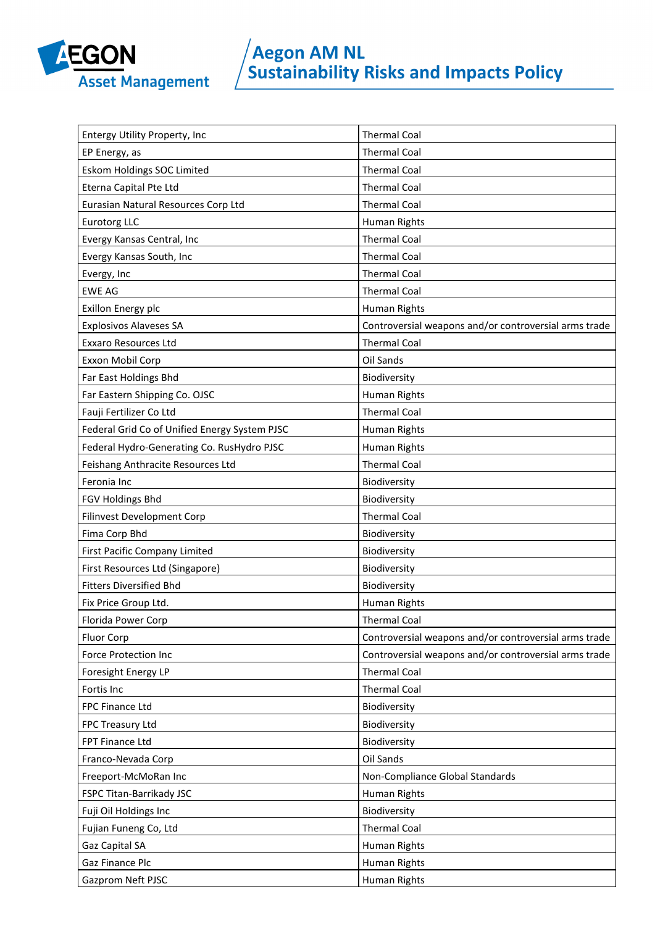

| Entergy Utility Property, Inc                 | <b>Thermal Coal</b>                                   |
|-----------------------------------------------|-------------------------------------------------------|
| EP Energy, as                                 | <b>Thermal Coal</b>                                   |
| Eskom Holdings SOC Limited                    | <b>Thermal Coal</b>                                   |
| Eterna Capital Pte Ltd                        | <b>Thermal Coal</b>                                   |
| Eurasian Natural Resources Corp Ltd           | <b>Thermal Coal</b>                                   |
| <b>Eurotorg LLC</b>                           | Human Rights                                          |
| Evergy Kansas Central, Inc                    | <b>Thermal Coal</b>                                   |
| Evergy Kansas South, Inc                      | <b>Thermal Coal</b>                                   |
| Evergy, Inc                                   | <b>Thermal Coal</b>                                   |
| <b>EWE AG</b>                                 | <b>Thermal Coal</b>                                   |
| Exillon Energy plc                            | Human Rights                                          |
| <b>Explosivos Alaveses SA</b>                 | Controversial weapons and/or controversial arms trade |
| <b>Exxaro Resources Ltd</b>                   | <b>Thermal Coal</b>                                   |
| Exxon Mobil Corp                              | Oil Sands                                             |
| Far East Holdings Bhd                         | Biodiversity                                          |
| Far Eastern Shipping Co. OJSC                 | Human Rights                                          |
| Fauji Fertilizer Co Ltd                       | <b>Thermal Coal</b>                                   |
| Federal Grid Co of Unified Energy System PJSC | Human Rights                                          |
| Federal Hydro-Generating Co. RusHydro PJSC    | Human Rights                                          |
| Feishang Anthracite Resources Ltd             | <b>Thermal Coal</b>                                   |
| Feronia Inc                                   | Biodiversity                                          |
| FGV Holdings Bhd                              | Biodiversity                                          |
|                                               |                                                       |
| Filinvest Development Corp                    | <b>Thermal Coal</b>                                   |
| Fima Corp Bhd                                 | Biodiversity                                          |
| <b>First Pacific Company Limited</b>          | Biodiversity                                          |
| First Resources Ltd (Singapore)               | Biodiversity                                          |
| <b>Fitters Diversified Bhd</b>                | Biodiversity                                          |
| Fix Price Group Ltd.                          | Human Rights                                          |
| Florida Power Corp                            | Thermal Coal                                          |
| <b>Fluor Corp</b>                             | Controversial weapons and/or controversial arms trade |
| <b>Force Protection Inc</b>                   | Controversial weapons and/or controversial arms trade |
| Foresight Energy LP                           | <b>Thermal Coal</b>                                   |
| Fortis Inc                                    | <b>Thermal Coal</b>                                   |
| FPC Finance Ltd                               | Biodiversity                                          |
| FPC Treasury Ltd                              | Biodiversity                                          |
| FPT Finance Ltd                               | Biodiversity                                          |
| Franco-Nevada Corp                            | Oil Sands                                             |
| Freeport-McMoRan Inc                          | Non-Compliance Global Standards                       |
| FSPC Titan-Barrikady JSC                      | Human Rights                                          |
| Fuji Oil Holdings Inc                         | Biodiversity                                          |
| Fujian Funeng Co, Ltd                         | <b>Thermal Coal</b>                                   |
| Gaz Capital SA                                | Human Rights                                          |
| Gaz Finance Plc                               | Human Rights                                          |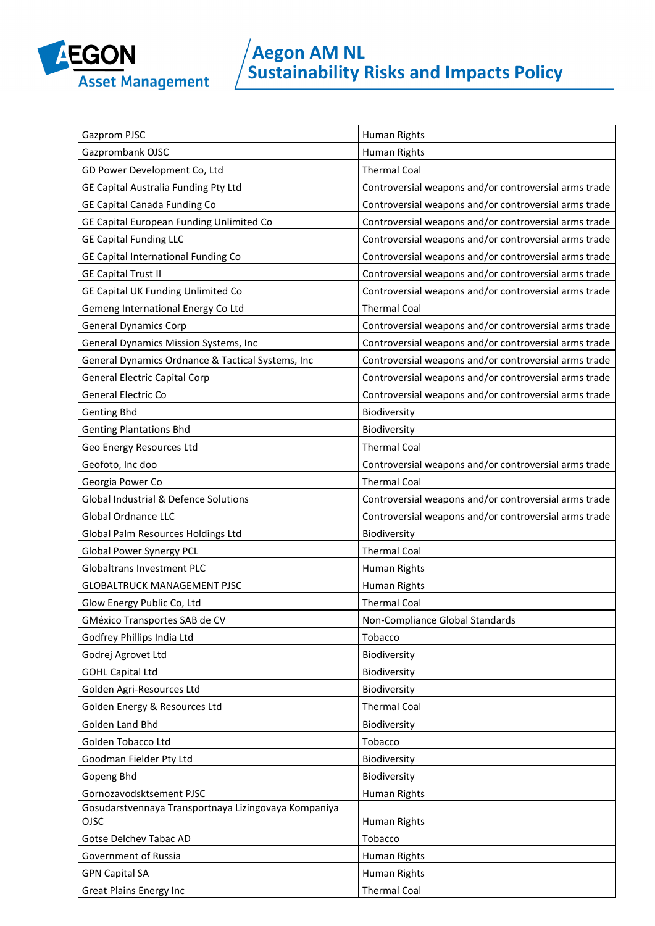

| Gazprom PJSC                                         | Human Rights                                          |
|------------------------------------------------------|-------------------------------------------------------|
| Gazprombank OJSC                                     | Human Rights                                          |
| GD Power Development Co, Ltd                         | <b>Thermal Coal</b>                                   |
| GE Capital Australia Funding Pty Ltd                 | Controversial weapons and/or controversial arms trade |
| <b>GE Capital Canada Funding Co</b>                  | Controversial weapons and/or controversial arms trade |
| GE Capital European Funding Unlimited Co             | Controversial weapons and/or controversial arms trade |
| <b>GE Capital Funding LLC</b>                        | Controversial weapons and/or controversial arms trade |
| GE Capital International Funding Co                  | Controversial weapons and/or controversial arms trade |
| <b>GE Capital Trust II</b>                           | Controversial weapons and/or controversial arms trade |
| GE Capital UK Funding Unlimited Co                   | Controversial weapons and/or controversial arms trade |
| Gemeng International Energy Co Ltd                   | <b>Thermal Coal</b>                                   |
| <b>General Dynamics Corp</b>                         | Controversial weapons and/or controversial arms trade |
| General Dynamics Mission Systems, Inc                | Controversial weapons and/or controversial arms trade |
| General Dynamics Ordnance & Tactical Systems, Inc    | Controversial weapons and/or controversial arms trade |
| <b>General Electric Capital Corp</b>                 | Controversial weapons and/or controversial arms trade |
| <b>General Electric Co</b>                           | Controversial weapons and/or controversial arms trade |
| <b>Genting Bhd</b>                                   | Biodiversity                                          |
| <b>Genting Plantations Bhd</b>                       | Biodiversity                                          |
| Geo Energy Resources Ltd                             | <b>Thermal Coal</b>                                   |
| Geofoto, Inc doo                                     | Controversial weapons and/or controversial arms trade |
| Georgia Power Co                                     | <b>Thermal Coal</b>                                   |
| Global Industrial & Defence Solutions                | Controversial weapons and/or controversial arms trade |
| <b>Global Ordnance LLC</b>                           | Controversial weapons and/or controversial arms trade |
| Global Palm Resources Holdings Ltd                   | Biodiversity                                          |
| <b>Global Power Synergy PCL</b>                      | <b>Thermal Coal</b>                                   |
| <b>Globaltrans Investment PLC</b>                    | Human Rights                                          |
| <b>GLOBALTRUCK MANAGEMENT PJSC</b>                   | Human Rights                                          |
| Glow Energy Public Co, Ltd                           | <b>Thermal Coal</b>                                   |
| GMéxico Transportes SAB de CV                        | Non-Compliance Global Standards                       |
| Godfrey Phillips India Ltd                           | Tobacco                                               |
| Godrej Agrovet Ltd                                   | Biodiversity                                          |
| <b>GOHL Capital Ltd</b>                              | Biodiversity                                          |
| Golden Agri-Resources Ltd                            | Biodiversity                                          |
| Golden Energy & Resources Ltd                        | <b>Thermal Coal</b>                                   |
| Golden Land Bhd                                      | Biodiversity                                          |
| Golden Tobacco Ltd                                   | Tobacco                                               |
| Goodman Fielder Pty Ltd                              | Biodiversity                                          |
| Gopeng Bhd                                           | Biodiversity                                          |
| Gornozavodsktsement PJSC                             | Human Rights                                          |
| Gosudarstvennaya Transportnaya Lizingovaya Kompaniya |                                                       |
| OJSC                                                 | Human Rights                                          |
| Gotse Delchev Tabac AD                               | Tobacco                                               |
| Government of Russia                                 | Human Rights                                          |
| <b>GPN Capital SA</b>                                | Human Rights                                          |
| <b>Great Plains Energy Inc</b>                       | <b>Thermal Coal</b>                                   |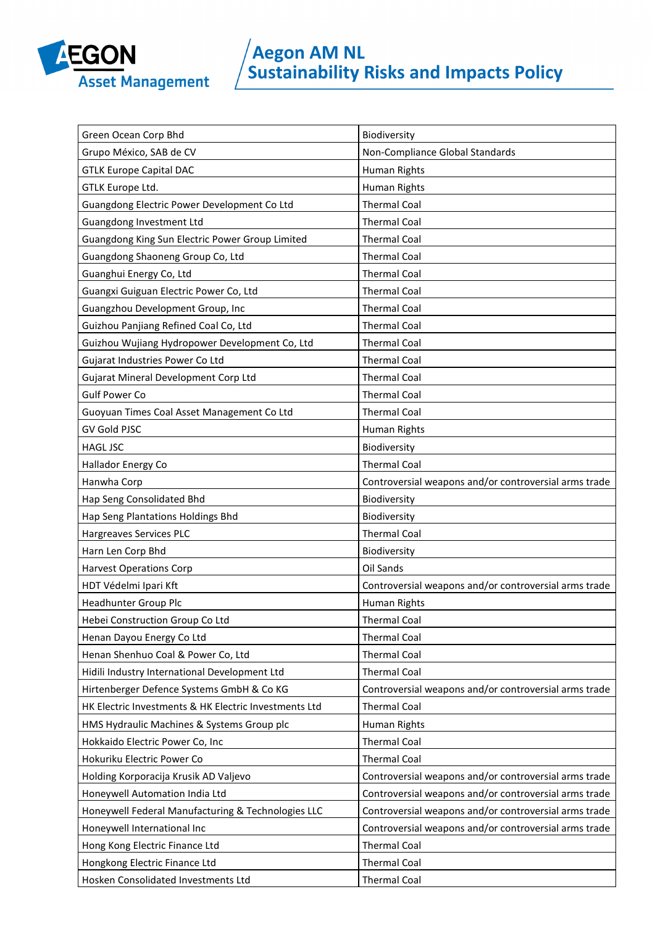

| Green Ocean Corp Bhd                                  | Biodiversity                                          |
|-------------------------------------------------------|-------------------------------------------------------|
| Grupo México, SAB de CV                               | Non-Compliance Global Standards                       |
| <b>GTLK Europe Capital DAC</b>                        | Human Rights                                          |
| GTLK Europe Ltd.                                      | Human Rights                                          |
| Guangdong Electric Power Development Co Ltd           | <b>Thermal Coal</b>                                   |
| Guangdong Investment Ltd                              | <b>Thermal Coal</b>                                   |
| Guangdong King Sun Electric Power Group Limited       | <b>Thermal Coal</b>                                   |
| Guangdong Shaoneng Group Co, Ltd                      | <b>Thermal Coal</b>                                   |
| Guanghui Energy Co, Ltd                               | <b>Thermal Coal</b>                                   |
| Guangxi Guiguan Electric Power Co, Ltd                | <b>Thermal Coal</b>                                   |
| Guangzhou Development Group, Inc                      | <b>Thermal Coal</b>                                   |
| Guizhou Panjiang Refined Coal Co, Ltd                 | <b>Thermal Coal</b>                                   |
| Guizhou Wujiang Hydropower Development Co, Ltd        | <b>Thermal Coal</b>                                   |
| Gujarat Industries Power Co Ltd                       | <b>Thermal Coal</b>                                   |
| Gujarat Mineral Development Corp Ltd                  | <b>Thermal Coal</b>                                   |
| <b>Gulf Power Co</b>                                  | <b>Thermal Coal</b>                                   |
| Guoyuan Times Coal Asset Management Co Ltd            | <b>Thermal Coal</b>                                   |
| <b>GV Gold PJSC</b>                                   | Human Rights                                          |
| <b>HAGL JSC</b>                                       | Biodiversity                                          |
| Hallador Energy Co                                    | <b>Thermal Coal</b>                                   |
| Hanwha Corp                                           | Controversial weapons and/or controversial arms trade |
| Hap Seng Consolidated Bhd                             | Biodiversity                                          |
| Hap Seng Plantations Holdings Bhd                     | Biodiversity                                          |
| Hargreaves Services PLC                               | <b>Thermal Coal</b>                                   |
| Harn Len Corp Bhd                                     | Biodiversity                                          |
| <b>Harvest Operations Corp</b>                        | Oil Sands                                             |
| HDT Védelmi Ipari Kft                                 | Controversial weapons and/or controversial arms trade |
| Headhunter Group Plc                                  | Human Rights                                          |
| Hebei Construction Group Co Ltd                       | <b>Thermal Coal</b>                                   |
| Henan Dayou Energy Co Ltd                             | <b>Thermal Coal</b>                                   |
| Henan Shenhuo Coal & Power Co, Ltd                    | <b>Thermal Coal</b>                                   |
| Hidili Industry International Development Ltd         | <b>Thermal Coal</b>                                   |
| Hirtenberger Defence Systems GmbH & Co KG             | Controversial weapons and/or controversial arms trade |
| HK Electric Investments & HK Electric Investments Ltd | <b>Thermal Coal</b>                                   |
| HMS Hydraulic Machines & Systems Group plc            | Human Rights                                          |
| Hokkaido Electric Power Co, Inc                       | <b>Thermal Coal</b>                                   |
| Hokuriku Electric Power Co                            | <b>Thermal Coal</b>                                   |
| Holding Korporacija Krusik AD Valjevo                 | Controversial weapons and/or controversial arms trade |
| Honeywell Automation India Ltd                        | Controversial weapons and/or controversial arms trade |
| Honeywell Federal Manufacturing & Technologies LLC    | Controversial weapons and/or controversial arms trade |
| Honeywell International Inc                           | Controversial weapons and/or controversial arms trade |
| Hong Kong Electric Finance Ltd                        | <b>Thermal Coal</b>                                   |
| Hongkong Electric Finance Ltd                         | <b>Thermal Coal</b>                                   |
| Hosken Consolidated Investments Ltd                   | <b>Thermal Coal</b>                                   |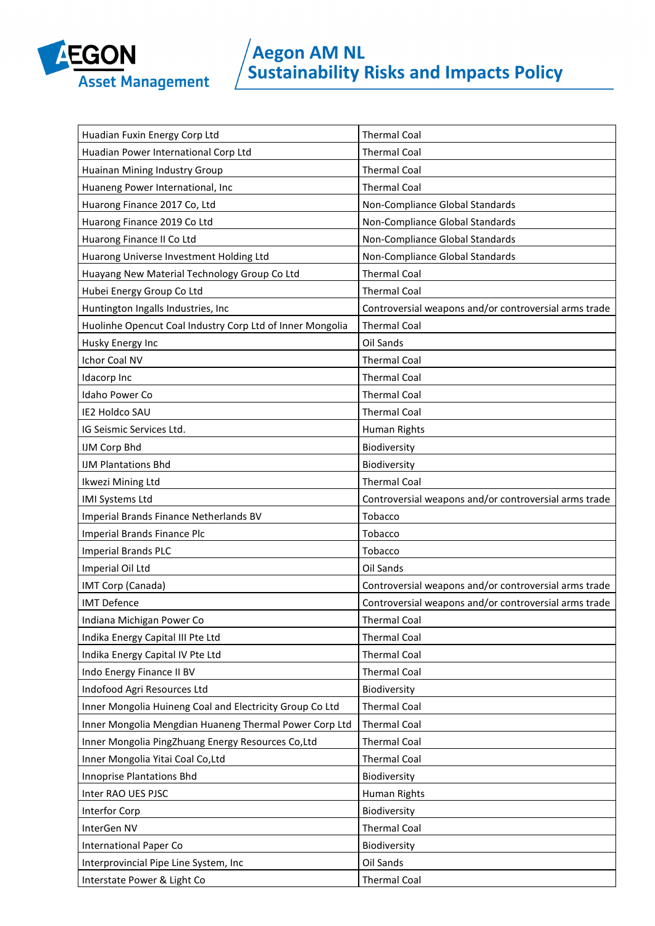

| Huadian Fuxin Energy Corp Ltd                             | <b>Thermal Coal</b>                                   |
|-----------------------------------------------------------|-------------------------------------------------------|
| Huadian Power International Corp Ltd                      | <b>Thermal Coal</b>                                   |
| Huainan Mining Industry Group                             | <b>Thermal Coal</b>                                   |
| Huaneng Power International, Inc                          | <b>Thermal Coal</b>                                   |
| Huarong Finance 2017 Co, Ltd                              | Non-Compliance Global Standards                       |
| Huarong Finance 2019 Co Ltd                               | Non-Compliance Global Standards                       |
| Huarong Finance II Co Ltd                                 | Non-Compliance Global Standards                       |
| Huarong Universe Investment Holding Ltd                   | Non-Compliance Global Standards                       |
| Huayang New Material Technology Group Co Ltd              | <b>Thermal Coal</b>                                   |
| Hubei Energy Group Co Ltd                                 | <b>Thermal Coal</b>                                   |
| Huntington Ingalls Industries, Inc                        | Controversial weapons and/or controversial arms trade |
| Huolinhe Opencut Coal Industry Corp Ltd of Inner Mongolia | <b>Thermal Coal</b>                                   |
| Husky Energy Inc                                          | Oil Sands                                             |
| Ichor Coal NV                                             | <b>Thermal Coal</b>                                   |
| Idacorp Inc                                               | <b>Thermal Coal</b>                                   |
| Idaho Power Co                                            | <b>Thermal Coal</b>                                   |
| <b>IE2 Holdco SAU</b>                                     | <b>Thermal Coal</b>                                   |
| IG Seismic Services Ltd.                                  | Human Rights                                          |
| IJM Corp Bhd                                              | Biodiversity                                          |
| <b>IJM Plantations Bhd</b>                                | Biodiversity                                          |
| Ikwezi Mining Ltd                                         | <b>Thermal Coal</b>                                   |
| IMI Systems Ltd                                           | Controversial weapons and/or controversial arms trade |
|                                                           |                                                       |
| Imperial Brands Finance Netherlands BV                    | Tobacco                                               |
| Imperial Brands Finance Plc                               | Tobacco                                               |
| <b>Imperial Brands PLC</b>                                | Tobacco                                               |
| Imperial Oil Ltd                                          | Oil Sands                                             |
| IMT Corp (Canada)                                         | Controversial weapons and/or controversial arms trade |
| <b>IMT Defence</b>                                        | Controversial weapons and/or controversial arms trade |
| Indiana Michigan Power Co                                 | <b>Thermal Coal</b>                                   |
| Indika Energy Capital III Pte Ltd                         | <b>Thermal Coal</b>                                   |
| Indika Energy Capital IV Pte Ltd                          | <b>Thermal Coal</b>                                   |
| Indo Energy Finance II BV                                 | <b>Thermal Coal</b>                                   |
| Indofood Agri Resources Ltd                               | Biodiversity                                          |
| Inner Mongolia Huineng Coal and Electricity Group Co Ltd  | <b>Thermal Coal</b>                                   |
| Inner Mongolia Mengdian Huaneng Thermal Power Corp Ltd    | <b>Thermal Coal</b>                                   |
| Inner Mongolia PingZhuang Energy Resources Co,Ltd         | <b>Thermal Coal</b>                                   |
| Inner Mongolia Yitai Coal Co,Ltd                          | <b>Thermal Coal</b>                                   |
| <b>Innoprise Plantations Bhd</b>                          | Biodiversity                                          |
| Inter RAO UES PJSC                                        | Human Rights                                          |
| Interfor Corp                                             | Biodiversity                                          |
| InterGen NV                                               | <b>Thermal Coal</b>                                   |
| <b>International Paper Co</b>                             | Biodiversity                                          |
| Interprovincial Pipe Line System, Inc                     | Oil Sands                                             |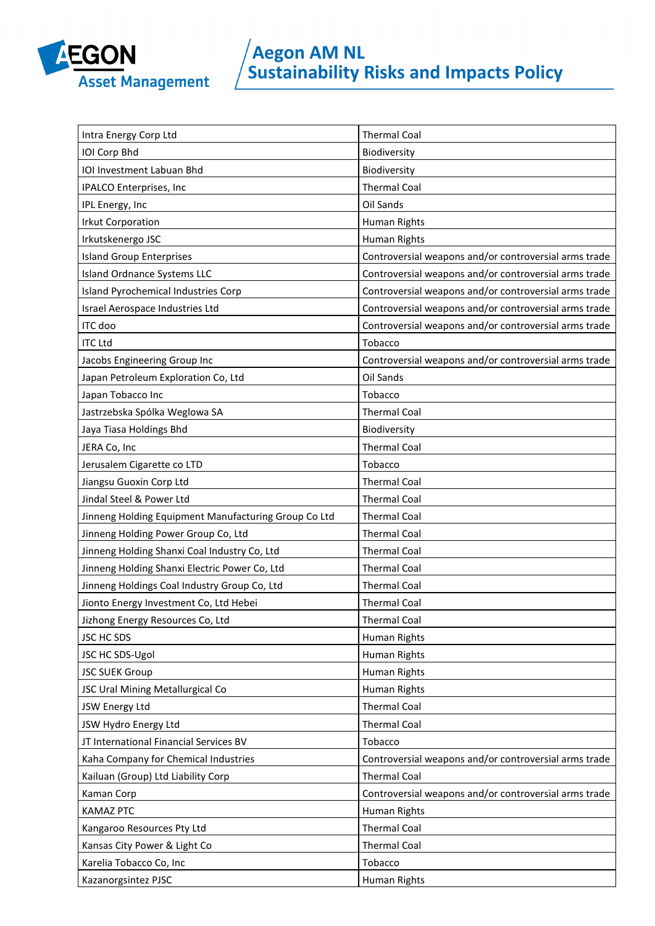

| Intra Energy Corp Ltd                                | <b>Thermal Coal</b>                                   |
|------------------------------------------------------|-------------------------------------------------------|
| IOI Corp Bhd                                         | Biodiversity                                          |
| IOI Investment Labuan Bhd                            | Biodiversity                                          |
| IPALCO Enterprises, Inc                              | <b>Thermal Coal</b>                                   |
| IPL Energy, Inc                                      | Oil Sands                                             |
| <b>Irkut Corporation</b>                             | Human Rights                                          |
| Irkutskenergo JSC                                    | Human Rights                                          |
| <b>Island Group Enterprises</b>                      | Controversial weapons and/or controversial arms trade |
| <b>Island Ordnance Systems LLC</b>                   | Controversial weapons and/or controversial arms trade |
| Island Pyrochemical Industries Corp                  | Controversial weapons and/or controversial arms trade |
| Israel Aerospace Industries Ltd                      | Controversial weapons and/or controversial arms trade |
| ITC doo                                              | Controversial weapons and/or controversial arms trade |
| <b>ITC Ltd</b>                                       | Tobacco                                               |
| Jacobs Engineering Group Inc                         | Controversial weapons and/or controversial arms trade |
| Japan Petroleum Exploration Co, Ltd                  | Oil Sands                                             |
| Japan Tobacco Inc                                    | Tobacco                                               |
| Jastrzebska Spólka Weglowa SA                        | <b>Thermal Coal</b>                                   |
| Jaya Tiasa Holdings Bhd                              | Biodiversity                                          |
| JERA Co, Inc                                         | <b>Thermal Coal</b>                                   |
| Jerusalem Cigarette co LTD                           | Tobacco                                               |
| Jiangsu Guoxin Corp Ltd                              | <b>Thermal Coal</b>                                   |
| Jindal Steel & Power Ltd                             | <b>Thermal Coal</b>                                   |
| Jinneng Holding Equipment Manufacturing Group Co Ltd | <b>Thermal Coal</b>                                   |
| Jinneng Holding Power Group Co, Ltd                  | <b>Thermal Coal</b>                                   |
| Jinneng Holding Shanxi Coal Industry Co, Ltd         | <b>Thermal Coal</b>                                   |
| Jinneng Holding Shanxi Electric Power Co, Ltd        | <b>Thermal Coal</b>                                   |
| Jinneng Holdings Coal Industry Group Co, Ltd         | <b>Thermal Coal</b>                                   |
| Jionto Energy Investment Co, Ltd Hebei               | <b>Thermal Coal</b>                                   |
| Jizhong Energy Resources Co, Ltd                     | <b>Thermal Coal</b>                                   |
| JSC HC SDS                                           | Human Rights                                          |
| JSC HC SDS-Ugol                                      | Human Rights                                          |
| <b>JSC SUEK Group</b>                                | Human Rights                                          |
| JSC Ural Mining Metallurgical Co                     | Human Rights                                          |
| JSW Energy Ltd                                       | <b>Thermal Coal</b>                                   |
| JSW Hydro Energy Ltd                                 | <b>Thermal Coal</b>                                   |
| JT International Financial Services BV               | Tobacco                                               |
| Kaha Company for Chemical Industries                 | Controversial weapons and/or controversial arms trade |
| Kailuan (Group) Ltd Liability Corp                   | <b>Thermal Coal</b>                                   |
| Kaman Corp                                           | Controversial weapons and/or controversial arms trade |
| <b>KAMAZ PTC</b>                                     | Human Rights                                          |
| Kangaroo Resources Pty Ltd                           | <b>Thermal Coal</b>                                   |
| Kansas City Power & Light Co                         | <b>Thermal Coal</b>                                   |
| Karelia Tobacco Co, Inc                              | Tobacco                                               |
| Kazanorgsintez PJSC                                  | Human Rights                                          |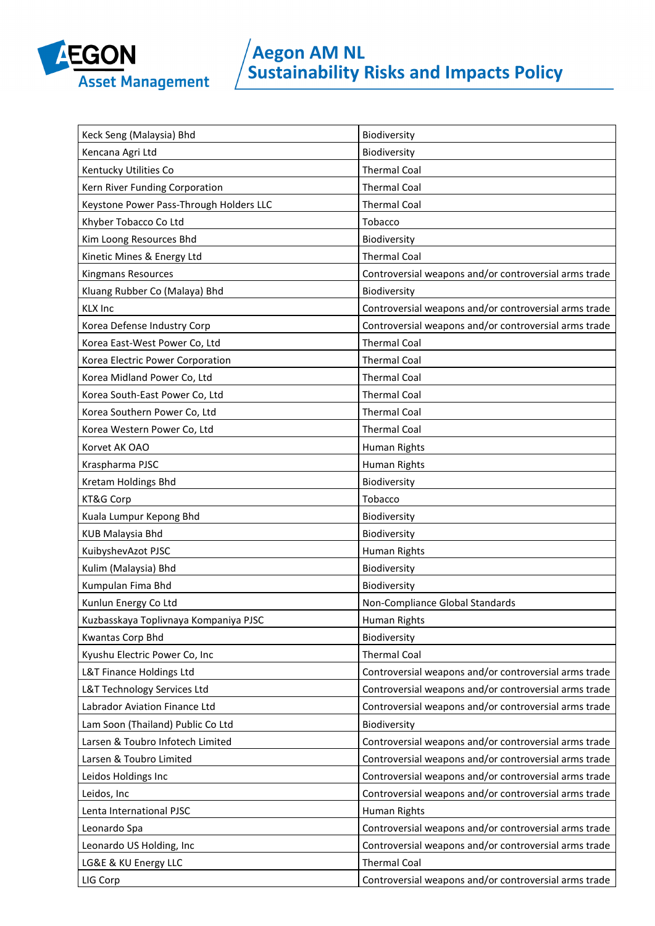

| Keck Seng (Malaysia) Bhd                | Biodiversity                                          |
|-----------------------------------------|-------------------------------------------------------|
| Kencana Agri Ltd                        | Biodiversity                                          |
| Kentucky Utilities Co                   | <b>Thermal Coal</b>                                   |
| Kern River Funding Corporation          | <b>Thermal Coal</b>                                   |
| Keystone Power Pass-Through Holders LLC | <b>Thermal Coal</b>                                   |
| Khyber Tobacco Co Ltd                   | Tobacco                                               |
| Kim Loong Resources Bhd                 | Biodiversity                                          |
| Kinetic Mines & Energy Ltd              | <b>Thermal Coal</b>                                   |
| Kingmans Resources                      | Controversial weapons and/or controversial arms trade |
| Kluang Rubber Co (Malaya) Bhd           | Biodiversity                                          |
| <b>KLX Inc</b>                          | Controversial weapons and/or controversial arms trade |
| Korea Defense Industry Corp             | Controversial weapons and/or controversial arms trade |
| Korea East-West Power Co, Ltd           | <b>Thermal Coal</b>                                   |
| Korea Electric Power Corporation        | <b>Thermal Coal</b>                                   |
| Korea Midland Power Co, Ltd             | <b>Thermal Coal</b>                                   |
| Korea South-East Power Co, Ltd          | <b>Thermal Coal</b>                                   |
| Korea Southern Power Co, Ltd            | <b>Thermal Coal</b>                                   |
| Korea Western Power Co, Ltd             | <b>Thermal Coal</b>                                   |
| Korvet AK OAO                           | Human Rights                                          |
| Kraspharma PJSC                         | Human Rights                                          |
| Kretam Holdings Bhd                     | Biodiversity                                          |
| KT&G Corp                               | Tobacco                                               |
| Kuala Lumpur Kepong Bhd                 | Biodiversity                                          |
| <b>KUB Malaysia Bhd</b>                 | Biodiversity                                          |
| KuibyshevAzot PJSC                      | Human Rights                                          |
| Kulim (Malaysia) Bhd                    | Biodiversity                                          |
| Kumpulan Fima Bhd                       | Biodiversity                                          |
| Kunlun Energy Co Ltd                    | Non-Compliance Global Standards                       |
| Kuzbasskaya Toplivnaya Kompaniya PJSC   | Human Rights                                          |
| Kwantas Corp Bhd                        | Biodiversity                                          |
| Kyushu Electric Power Co, Inc           | <b>Thermal Coal</b>                                   |
| L&T Finance Holdings Ltd                | Controversial weapons and/or controversial arms trade |
| L&T Technology Services Ltd             | Controversial weapons and/or controversial arms trade |
| Labrador Aviation Finance Ltd           | Controversial weapons and/or controversial arms trade |
| Lam Soon (Thailand) Public Co Ltd       | Biodiversity                                          |
| Larsen & Toubro Infotech Limited        | Controversial weapons and/or controversial arms trade |
| Larsen & Toubro Limited                 | Controversial weapons and/or controversial arms trade |
| Leidos Holdings Inc                     | Controversial weapons and/or controversial arms trade |
| Leidos, Inc                             | Controversial weapons and/or controversial arms trade |
| Lenta International PJSC                | Human Rights                                          |
| Leonardo Spa                            | Controversial weapons and/or controversial arms trade |
| Leonardo US Holding, Inc                | Controversial weapons and/or controversial arms trade |
| LG&E & KU Energy LLC                    | <b>Thermal Coal</b>                                   |
| LIG Corp                                | Controversial weapons and/or controversial arms trade |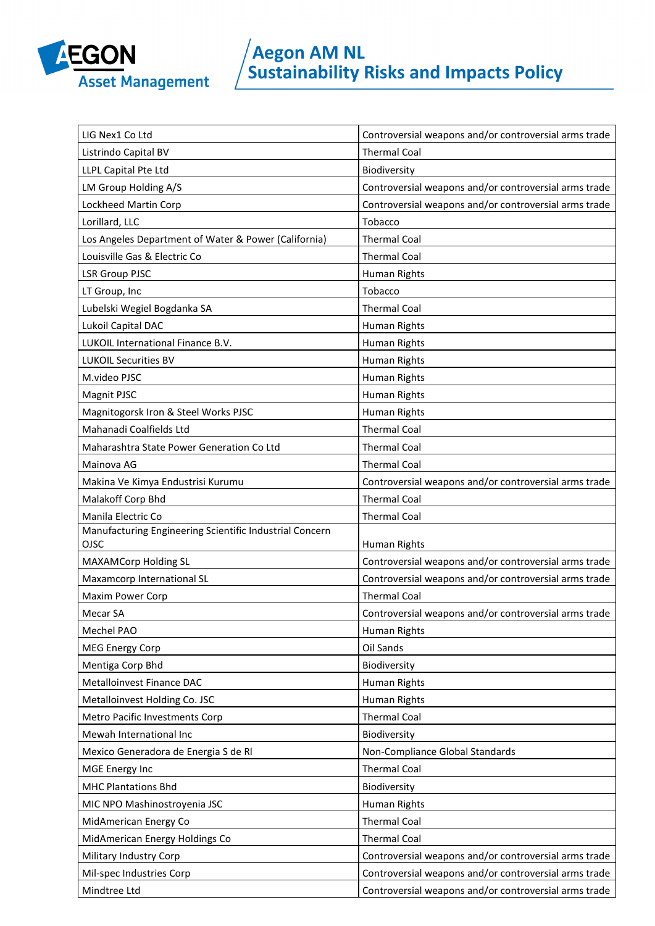

| LIG Nex1 Co Ltd                                                 | Controversial weapons and/or controversial arms trade |
|-----------------------------------------------------------------|-------------------------------------------------------|
| Listrindo Capital BV                                            | <b>Thermal Coal</b>                                   |
| LLPL Capital Pte Ltd                                            | Biodiversity                                          |
| LM Group Holding A/S                                            | Controversial weapons and/or controversial arms trade |
| Lockheed Martin Corp                                            | Controversial weapons and/or controversial arms trade |
| Lorillard, LLC                                                  | Tobacco                                               |
| Los Angeles Department of Water & Power (California)            | <b>Thermal Coal</b>                                   |
| Louisville Gas & Electric Co                                    | <b>Thermal Coal</b>                                   |
| <b>LSR Group PJSC</b>                                           | Human Rights                                          |
| LT Group, Inc                                                   | Tobacco                                               |
| Lubelski Wegiel Bogdanka SA                                     | <b>Thermal Coal</b>                                   |
| Lukoil Capital DAC                                              | Human Rights                                          |
| LUKOIL International Finance B.V.                               | Human Rights                                          |
| <b>LUKOIL Securities BV</b>                                     | Human Rights                                          |
| M.video PJSC                                                    | Human Rights                                          |
| Magnit PJSC                                                     | Human Rights                                          |
| Magnitogorsk Iron & Steel Works PJSC                            | Human Rights                                          |
| Mahanadi Coalfields Ltd                                         | <b>Thermal Coal</b>                                   |
| Maharashtra State Power Generation Co Ltd                       | <b>Thermal Coal</b>                                   |
| Mainova AG                                                      | <b>Thermal Coal</b>                                   |
| Makina Ve Kimya Endustrisi Kurumu                               | Controversial weapons and/or controversial arms trade |
| Malakoff Corp Bhd                                               | <b>Thermal Coal</b>                                   |
| Manila Electric Co                                              | <b>Thermal Coal</b>                                   |
| Manufacturing Engineering Scientific Industrial Concern<br>OJSC | Human Rights                                          |
| <b>MAXAMCorp Holding SL</b>                                     | Controversial weapons and/or controversial arms trade |
| Maxamcorp International SL                                      | Controversial weapons and/or controversial arms trade |
| Maxim Power Corp                                                | <b>Thermal Coal</b>                                   |
| Mecar SA                                                        | Controversial weapons and/or controversial arms trade |
| Mechel PAO                                                      | Human Rights                                          |
| <b>MEG Energy Corp</b>                                          | Oil Sands                                             |
| Mentiga Corp Bhd                                                | Biodiversity                                          |
| Metalloinvest Finance DAC                                       | Human Rights                                          |
| Metalloinvest Holding Co. JSC                                   | Human Rights                                          |
| Metro Pacific Investments Corp                                  | <b>Thermal Coal</b>                                   |
| Mewah International Inc                                         | Biodiversity                                          |
| Mexico Generadora de Energia S de RI                            | Non-Compliance Global Standards                       |
| MGE Energy Inc                                                  | <b>Thermal Coal</b>                                   |
| <b>MHC Plantations Bhd</b>                                      | Biodiversity                                          |
| MIC NPO Mashinostroyenia JSC                                    | Human Rights                                          |
| MidAmerican Energy Co                                           | <b>Thermal Coal</b>                                   |
| MidAmerican Energy Holdings Co                                  | <b>Thermal Coal</b>                                   |
| Military Industry Corp                                          | Controversial weapons and/or controversial arms trade |
| Mil-spec Industries Corp                                        | Controversial weapons and/or controversial arms trade |
| Mindtree Ltd                                                    | Controversial weapons and/or controversial arms trade |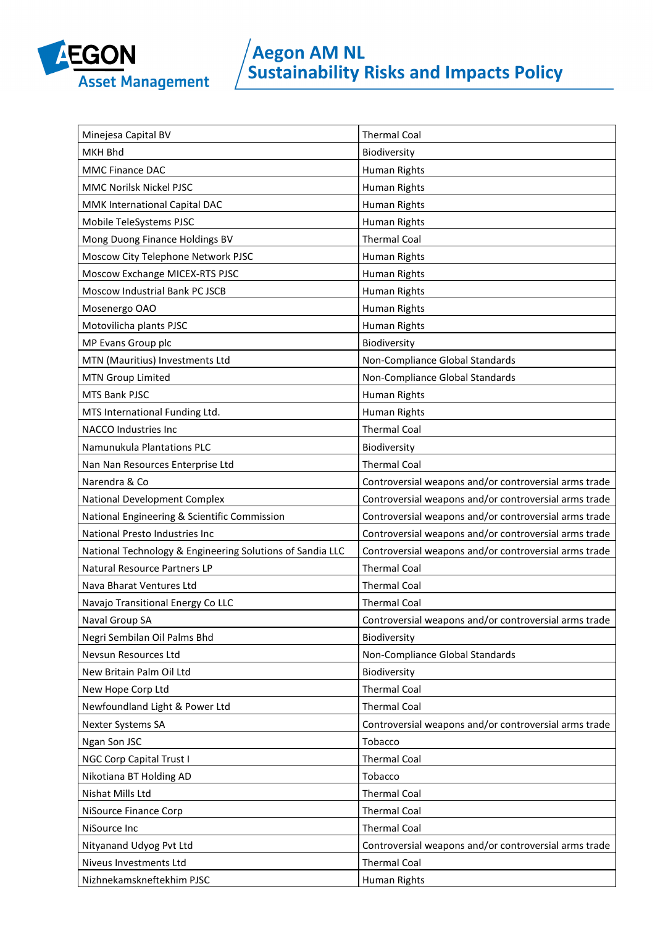

| Minejesa Capital BV                                       | <b>Thermal Coal</b>                                   |
|-----------------------------------------------------------|-------------------------------------------------------|
| <b>MKH Bhd</b>                                            | Biodiversity                                          |
| <b>MMC Finance DAC</b>                                    | Human Rights                                          |
| MMC Norilsk Nickel PJSC                                   | Human Rights                                          |
| MMK International Capital DAC                             | Human Rights                                          |
| Mobile TeleSystems PJSC                                   | Human Rights                                          |
| Mong Duong Finance Holdings BV                            | <b>Thermal Coal</b>                                   |
| Moscow City Telephone Network PJSC                        | Human Rights                                          |
| Moscow Exchange MICEX-RTS PJSC                            | Human Rights                                          |
| Moscow Industrial Bank PC JSCB                            | Human Rights                                          |
| Mosenergo OAO                                             | Human Rights                                          |
| Motovilicha plants PJSC                                   | Human Rights                                          |
| MP Evans Group plc                                        | Biodiversity                                          |
| MTN (Mauritius) Investments Ltd                           | Non-Compliance Global Standards                       |
| <b>MTN Group Limited</b>                                  | Non-Compliance Global Standards                       |
| <b>MTS Bank PJSC</b>                                      | Human Rights                                          |
| MTS International Funding Ltd.                            | Human Rights                                          |
| <b>NACCO Industries Inc</b>                               | <b>Thermal Coal</b>                                   |
| Namunukula Plantations PLC                                | Biodiversity                                          |
| Nan Nan Resources Enterprise Ltd                          | <b>Thermal Coal</b>                                   |
| Narendra & Co                                             | Controversial weapons and/or controversial arms trade |
| National Development Complex                              | Controversial weapons and/or controversial arms trade |
| National Engineering & Scientific Commission              | Controversial weapons and/or controversial arms trade |
| National Presto Industries Inc                            | Controversial weapons and/or controversial arms trade |
| National Technology & Engineering Solutions of Sandia LLC | Controversial weapons and/or controversial arms trade |
| Natural Resource Partners LP                              | <b>Thermal Coal</b>                                   |
| Nava Bharat Ventures Ltd                                  | <b>Thermal Coal</b>                                   |
| Navajo Transitional Energy Co LLC                         | <b>Thermal Coal</b>                                   |
| Naval Group SA                                            | Controversial weapons and/or controversial arms trade |
| Negri Sembilan Oil Palms Bhd                              | Biodiversity                                          |
| Nevsun Resources Ltd                                      | Non-Compliance Global Standards                       |
| New Britain Palm Oil Ltd                                  | Biodiversity                                          |
| New Hope Corp Ltd                                         | <b>Thermal Coal</b>                                   |
| Newfoundland Light & Power Ltd                            | <b>Thermal Coal</b>                                   |
| Nexter Systems SA                                         | Controversial weapons and/or controversial arms trade |
| Ngan Son JSC                                              | Tobacco                                               |
| NGC Corp Capital Trust I                                  | <b>Thermal Coal</b>                                   |
| Nikotiana BT Holding AD                                   | Tobacco                                               |
| Nishat Mills Ltd                                          | <b>Thermal Coal</b>                                   |
| NiSource Finance Corp                                     | <b>Thermal Coal</b>                                   |
| NiSource Inc                                              | <b>Thermal Coal</b>                                   |
| Nityanand Udyog Pvt Ltd                                   | Controversial weapons and/or controversial arms trade |
| Niveus Investments Ltd                                    | <b>Thermal Coal</b>                                   |
| Nizhnekamskneftekhim PJSC                                 | Human Rights                                          |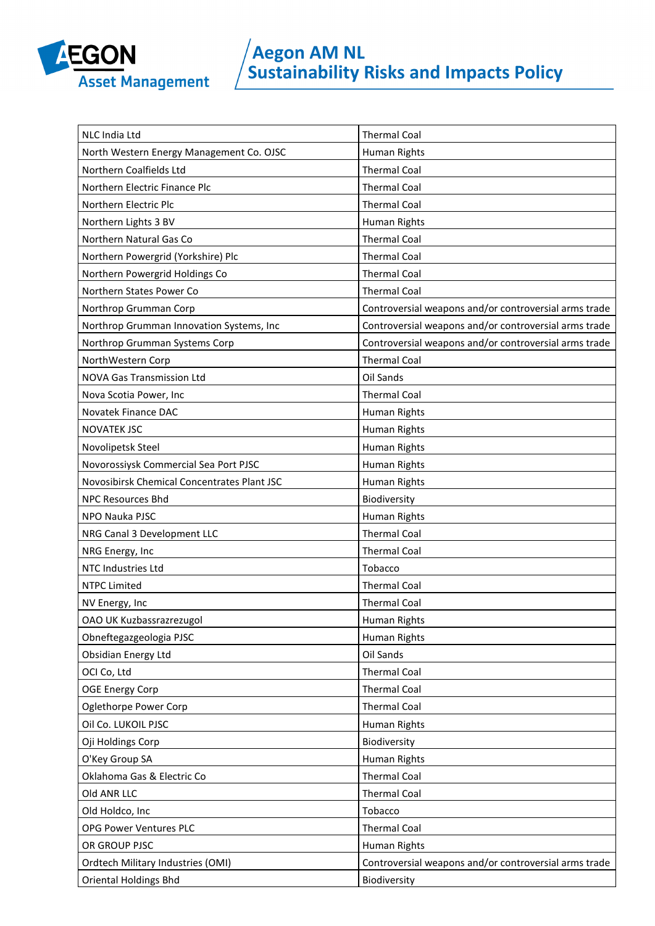

| NLC India Ltd                               | <b>Thermal Coal</b>                                   |
|---------------------------------------------|-------------------------------------------------------|
| North Western Energy Management Co. OJSC    | Human Rights                                          |
| Northern Coalfields Ltd                     | <b>Thermal Coal</b>                                   |
| Northern Electric Finance Plc               | <b>Thermal Coal</b>                                   |
| Northern Electric Plc                       | <b>Thermal Coal</b>                                   |
| Northern Lights 3 BV                        | Human Rights                                          |
| Northern Natural Gas Co                     | <b>Thermal Coal</b>                                   |
| Northern Powergrid (Yorkshire) Plc          | <b>Thermal Coal</b>                                   |
| Northern Powergrid Holdings Co              | <b>Thermal Coal</b>                                   |
| Northern States Power Co                    | <b>Thermal Coal</b>                                   |
| Northrop Grumman Corp                       | Controversial weapons and/or controversial arms trade |
| Northrop Grumman Innovation Systems, Inc    | Controversial weapons and/or controversial arms trade |
| Northrop Grumman Systems Corp               | Controversial weapons and/or controversial arms trade |
| NorthWestern Corp                           | <b>Thermal Coal</b>                                   |
| <b>NOVA Gas Transmission Ltd</b>            | Oil Sands                                             |
| Nova Scotia Power, Inc                      | <b>Thermal Coal</b>                                   |
| Novatek Finance DAC                         | Human Rights                                          |
| <b>NOVATEK JSC</b>                          | Human Rights                                          |
| Novolipetsk Steel                           | Human Rights                                          |
| Novorossiysk Commercial Sea Port PJSC       | Human Rights                                          |
| Novosibirsk Chemical Concentrates Plant JSC | Human Rights                                          |
| <b>NPC Resources Bhd</b>                    | Biodiversity                                          |
| NPO Nauka PJSC                              | Human Rights                                          |
| NRG Canal 3 Development LLC                 | <b>Thermal Coal</b>                                   |
| NRG Energy, Inc                             | <b>Thermal Coal</b>                                   |
| NTC Industries Ltd                          | Tobacco                                               |
| <b>NTPC Limited</b>                         | <b>Thermal Coal</b>                                   |
| NV Energy, Inc                              | <b>Thermal Coal</b>                                   |
| OAO UK Kuzbassrazrezugol                    | Human Rights                                          |
| Obneftegazgeologia PJSC                     | Human Rights                                          |
| Obsidian Energy Ltd                         | Oil Sands                                             |
| OCI Co, Ltd                                 | <b>Thermal Coal</b>                                   |
| <b>OGE Energy Corp</b>                      | <b>Thermal Coal</b>                                   |
| Oglethorpe Power Corp                       | <b>Thermal Coal</b>                                   |
| Oil Co. LUKOIL PJSC                         | Human Rights                                          |
| Oji Holdings Corp                           | Biodiversity                                          |
| O'Key Group SA                              | Human Rights                                          |
| Oklahoma Gas & Electric Co                  | <b>Thermal Coal</b>                                   |
| Old ANR LLC                                 | <b>Thermal Coal</b>                                   |
| Old Holdco, Inc                             | Tobacco                                               |
| OPG Power Ventures PLC                      | <b>Thermal Coal</b>                                   |
| OR GROUP PJSC                               | Human Rights                                          |
| Ordtech Military Industries (OMI)           | Controversial weapons and/or controversial arms trade |
| <b>Oriental Holdings Bhd</b>                | Biodiversity                                          |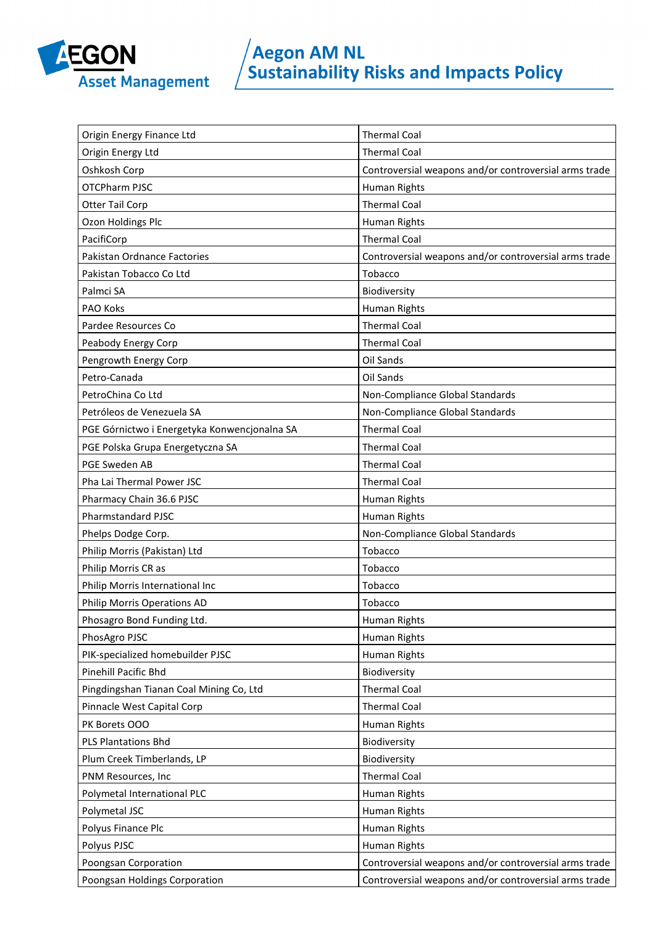

| Origin Energy Finance Ltd                    | <b>Thermal Coal</b>                                   |
|----------------------------------------------|-------------------------------------------------------|
| Origin Energy Ltd                            | <b>Thermal Coal</b>                                   |
| Oshkosh Corp                                 | Controversial weapons and/or controversial arms trade |
| <b>OTCPharm PJSC</b>                         | Human Rights                                          |
| <b>Otter Tail Corp</b>                       | <b>Thermal Coal</b>                                   |
| Ozon Holdings Plc                            | Human Rights                                          |
| PacifiCorp                                   | <b>Thermal Coal</b>                                   |
| Pakistan Ordnance Factories                  | Controversial weapons and/or controversial arms trade |
| Pakistan Tobacco Co Ltd                      | Tobacco                                               |
| Palmci SA                                    | Biodiversity                                          |
| PAO Koks                                     | Human Rights                                          |
| Pardee Resources Co                          | <b>Thermal Coal</b>                                   |
| Peabody Energy Corp                          | <b>Thermal Coal</b>                                   |
| Pengrowth Energy Corp                        | Oil Sands                                             |
| Petro-Canada                                 | Oil Sands                                             |
| PetroChina Co Ltd                            | Non-Compliance Global Standards                       |
| Petróleos de Venezuela SA                    | Non-Compliance Global Standards                       |
| PGE Górnictwo i Energetyka Konwencjonalna SA | <b>Thermal Coal</b>                                   |
| PGE Polska Grupa Energetyczna SA             | <b>Thermal Coal</b>                                   |
| PGE Sweden AB                                | <b>Thermal Coal</b>                                   |
| Pha Lai Thermal Power JSC                    | <b>Thermal Coal</b>                                   |
| Pharmacy Chain 36.6 PJSC                     | Human Rights                                          |
| <b>Pharmstandard PJSC</b>                    | Human Rights                                          |
| Phelps Dodge Corp.                           | Non-Compliance Global Standards                       |
| Philip Morris (Pakistan) Ltd                 | Tobacco                                               |
| Philip Morris CR as                          | Tobacco                                               |
| Philip Morris International Inc              | Tobacco                                               |
| Philip Morris Operations AD                  | Tobacco                                               |
| Phosagro Bond Funding Ltd.                   | Human Rights                                          |
| PhosAgro PJSC                                | Human Rights                                          |
| PIK-specialized homebuilder PJSC             | Human Rights                                          |
| Pinehill Pacific Bhd                         | Biodiversity                                          |
| Pingdingshan Tianan Coal Mining Co, Ltd      | <b>Thermal Coal</b>                                   |
| Pinnacle West Capital Corp                   | <b>Thermal Coal</b>                                   |
| PK Borets OOO                                | Human Rights                                          |
| <b>PLS Plantations Bhd</b>                   | Biodiversity                                          |
| Plum Creek Timberlands, LP                   | Biodiversity                                          |
| PNM Resources, Inc                           | <b>Thermal Coal</b>                                   |
| Polymetal International PLC                  | Human Rights                                          |
| Polymetal JSC                                | Human Rights                                          |
| Polyus Finance Plc                           | Human Rights                                          |
| Polyus PJSC                                  | Human Rights                                          |
| Poongsan Corporation                         | Controversial weapons and/or controversial arms trade |
| Poongsan Holdings Corporation                | Controversial weapons and/or controversial arms trade |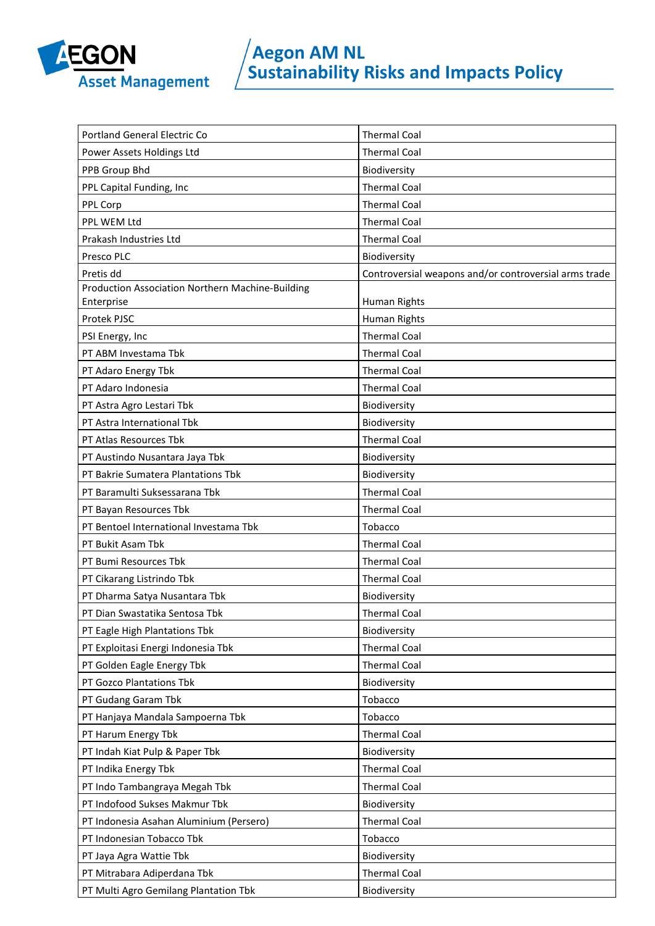

| Portland General Electric Co                     | <b>Thermal Coal</b>                                   |
|--------------------------------------------------|-------------------------------------------------------|
| Power Assets Holdings Ltd                        | <b>Thermal Coal</b>                                   |
| PPB Group Bhd                                    | Biodiversity                                          |
| PPL Capital Funding, Inc                         | <b>Thermal Coal</b>                                   |
| PPL Corp                                         | <b>Thermal Coal</b>                                   |
| PPL WEM Ltd                                      | <b>Thermal Coal</b>                                   |
| Prakash Industries Ltd                           | <b>Thermal Coal</b>                                   |
| Presco PLC                                       | Biodiversity                                          |
| Pretis dd                                        | Controversial weapons and/or controversial arms trade |
| Production Association Northern Machine-Building |                                                       |
| Enterprise                                       | Human Rights                                          |
| Protek PJSC                                      | Human Rights                                          |
| PSI Energy, Inc                                  | <b>Thermal Coal</b>                                   |
| PT ABM Investama Tbk                             | <b>Thermal Coal</b>                                   |
| PT Adaro Energy Tbk                              | <b>Thermal Coal</b>                                   |
| PT Adaro Indonesia                               | <b>Thermal Coal</b>                                   |
| PT Astra Agro Lestari Tbk                        | Biodiversity                                          |
| PT Astra International Tbk                       | Biodiversity                                          |
| PT Atlas Resources Tbk                           | <b>Thermal Coal</b>                                   |
| PT Austindo Nusantara Jaya Tbk                   | Biodiversity                                          |
| PT Bakrie Sumatera Plantations Tbk               | Biodiversity                                          |
| PT Baramulti Suksessarana Tbk                    | <b>Thermal Coal</b>                                   |
| PT Bayan Resources Tbk                           | <b>Thermal Coal</b>                                   |
| PT Bentoel International Investama Tbk           | Tobacco                                               |
| PT Bukit Asam Tbk                                | <b>Thermal Coal</b>                                   |
| PT Bumi Resources Tbk                            | <b>Thermal Coal</b>                                   |
| PT Cikarang Listrindo Tbk                        | <b>Thermal Coal</b>                                   |
| PT Dharma Satya Nusantara Tbk                    | Biodiversity                                          |
| PT Dian Swastatika Sentosa Tbk                   | <b>Thermal Coal</b>                                   |
| PT Eagle High Plantations Tbk                    | Biodiversity                                          |
| PT Exploitasi Energi Indonesia Tbk               | <b>Thermal Coal</b>                                   |
| PT Golden Eagle Energy Tbk                       | <b>Thermal Coal</b>                                   |
| PT Gozco Plantations Tbk                         | Biodiversity                                          |
| PT Gudang Garam Tbk                              | Tobacco                                               |
| PT Hanjaya Mandala Sampoerna Tbk                 | Tobacco                                               |
| PT Harum Energy Tbk                              | <b>Thermal Coal</b>                                   |
| PT Indah Kiat Pulp & Paper Tbk                   | Biodiversity                                          |
| PT Indika Energy Tbk                             | <b>Thermal Coal</b>                                   |
| PT Indo Tambangraya Megah Tbk                    | <b>Thermal Coal</b>                                   |
| PT Indofood Sukses Makmur Tbk                    | Biodiversity                                          |
| PT Indonesia Asahan Aluminium (Persero)          | <b>Thermal Coal</b>                                   |
| PT Indonesian Tobacco Tbk                        | Tobacco                                               |
| PT Jaya Agra Wattie Tbk                          | Biodiversity                                          |
| PT Mitrabara Adiperdana Tbk                      | <b>Thermal Coal</b>                                   |
| PT Multi Agro Gemilang Plantation Tbk            | Biodiversity                                          |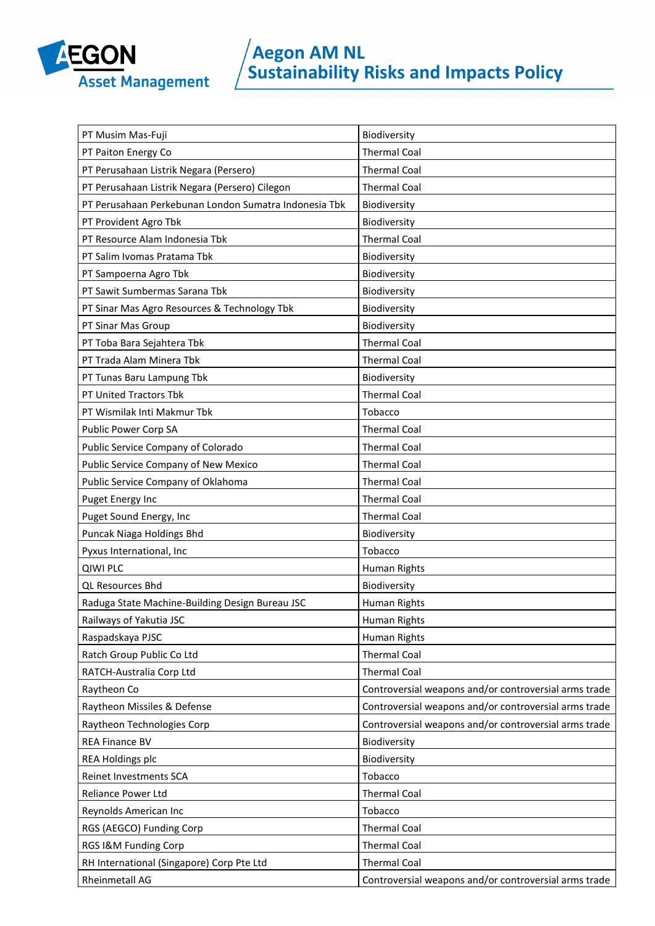

| PT Musim Mas-Fuji                                     | Biodiversity                                          |
|-------------------------------------------------------|-------------------------------------------------------|
| PT Paiton Energy Co                                   | <b>Thermal Coal</b>                                   |
| PT Perusahaan Listrik Negara (Persero)                | <b>Thermal Coal</b>                                   |
| PT Perusahaan Listrik Negara (Persero) Cilegon        | <b>Thermal Coal</b>                                   |
| PT Perusahaan Perkebunan London Sumatra Indonesia Tbk | Biodiversity                                          |
| PT Provident Agro Tbk                                 | Biodiversity                                          |
| PT Resource Alam Indonesia Tbk                        | <b>Thermal Coal</b>                                   |
| PT Salim Ivomas Pratama Tbk                           | Biodiversity                                          |
| PT Sampoerna Agro Tbk                                 | Biodiversity                                          |
| PT Sawit Sumbermas Sarana Tbk                         | Biodiversity                                          |
| PT Sinar Mas Agro Resources & Technology Tbk          | Biodiversity                                          |
| PT Sinar Mas Group                                    | Biodiversity                                          |
| PT Toba Bara Sejahtera Tbk                            | <b>Thermal Coal</b>                                   |
| PT Trada Alam Minera Tbk                              | <b>Thermal Coal</b>                                   |
| PT Tunas Baru Lampung Tbk                             | Biodiversity                                          |
| PT United Tractors Tbk                                | <b>Thermal Coal</b>                                   |
| PT Wismilak Inti Makmur Tbk                           | Tobacco                                               |
| Public Power Corp SA                                  | <b>Thermal Coal</b>                                   |
| Public Service Company of Colorado                    | <b>Thermal Coal</b>                                   |
| Public Service Company of New Mexico                  | <b>Thermal Coal</b>                                   |
| Public Service Company of Oklahoma                    | <b>Thermal Coal</b>                                   |
| Puget Energy Inc                                      | <b>Thermal Coal</b>                                   |
| Puget Sound Energy, Inc                               | <b>Thermal Coal</b>                                   |
| Puncak Niaga Holdings Bhd                             | Biodiversity                                          |
| Pyxus International, Inc                              | Tobacco                                               |
| <b>QIWI PLC</b>                                       | Human Rights                                          |
| <b>QL Resources Bhd</b>                               | Biodiversity                                          |
| Raduga State Machine-Building Design Bureau JSC       | Human Rights                                          |
| Railways of Yakutia JSC                               | Human Rights                                          |
| Raspadskaya PJSC                                      | Human Rights                                          |
| Ratch Group Public Co Ltd                             | <b>Thermal Coal</b>                                   |
| RATCH-Australia Corp Ltd                              | <b>Thermal Coal</b>                                   |
| Raytheon Co                                           | Controversial weapons and/or controversial arms trade |
| Raytheon Missiles & Defense                           | Controversial weapons and/or controversial arms trade |
| Raytheon Technologies Corp                            | Controversial weapons and/or controversial arms trade |
| <b>REA Finance BV</b>                                 | Biodiversity                                          |
| REA Holdings plc                                      | Biodiversity                                          |
| Reinet Investments SCA                                | Tobacco                                               |
| Reliance Power Ltd                                    | <b>Thermal Coal</b>                                   |
| Reynolds American Inc                                 | Tobacco                                               |
| RGS (AEGCO) Funding Corp                              | <b>Thermal Coal</b>                                   |
| RGS I&M Funding Corp                                  | <b>Thermal Coal</b>                                   |
| RH International (Singapore) Corp Pte Ltd             | <b>Thermal Coal</b>                                   |
| Rheinmetall AG                                        | Controversial weapons and/or controversial arms trade |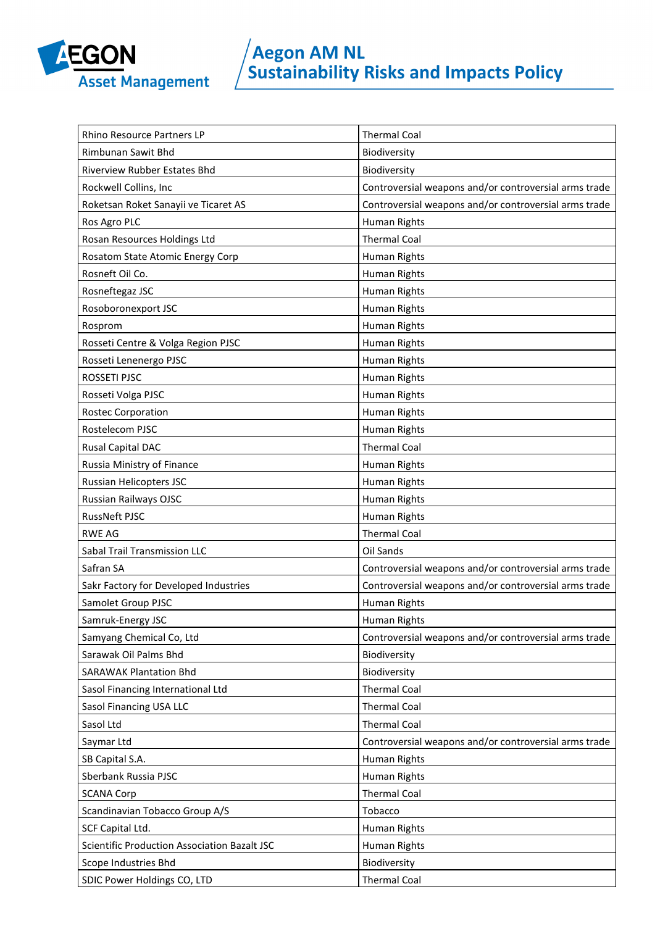

| Rhino Resource Partners LP                   | <b>Thermal Coal</b>                                   |
|----------------------------------------------|-------------------------------------------------------|
| <b>Rimbunan Sawit Bhd</b>                    | Biodiversity                                          |
| <b>Riverview Rubber Estates Bhd</b>          | Biodiversity                                          |
| Rockwell Collins, Inc                        | Controversial weapons and/or controversial arms trade |
| Roketsan Roket Sanayii ve Ticaret AS         | Controversial weapons and/or controversial arms trade |
| Ros Agro PLC                                 | Human Rights                                          |
| Rosan Resources Holdings Ltd                 | <b>Thermal Coal</b>                                   |
| Rosatom State Atomic Energy Corp             | Human Rights                                          |
| Rosneft Oil Co.                              | Human Rights                                          |
| Rosneftegaz JSC                              | Human Rights                                          |
| Rosoboronexport JSC                          | Human Rights                                          |
| Rosprom                                      | Human Rights                                          |
| Rosseti Centre & Volga Region PJSC           | Human Rights                                          |
| Rosseti Lenenergo PJSC                       | Human Rights                                          |
| ROSSETI PJSC                                 | Human Rights                                          |
| Rosseti Volga PJSC                           | Human Rights                                          |
| <b>Rostec Corporation</b>                    | Human Rights                                          |
| Rostelecom PJSC                              | Human Rights                                          |
| Rusal Capital DAC                            | <b>Thermal Coal</b>                                   |
| Russia Ministry of Finance                   | Human Rights                                          |
| Russian Helicopters JSC                      | Human Rights                                          |
| Russian Railways OJSC                        | Human Rights                                          |
| <b>RussNeft PJSC</b>                         | Human Rights                                          |
| <b>RWE AG</b>                                | <b>Thermal Coal</b>                                   |
| Sabal Trail Transmission LLC                 | Oil Sands                                             |
| Safran SA                                    | Controversial weapons and/or controversial arms trade |
| Sakr Factory for Developed Industries        | Controversial weapons and/or controversial arms trade |
| Samolet Group PJSC                           | Human Rights                                          |
| Samruk-Energy JSC                            | Human Rights                                          |
| Samyang Chemical Co, Ltd                     | Controversial weapons and/or controversial arms trade |
| Sarawak Oil Palms Bhd                        | Biodiversity                                          |
| <b>SARAWAK Plantation Bhd</b>                | Biodiversity                                          |
| Sasol Financing International Ltd            | <b>Thermal Coal</b>                                   |
| Sasol Financing USA LLC                      | <b>Thermal Coal</b>                                   |
| Sasol Ltd                                    | <b>Thermal Coal</b>                                   |
| Saymar Ltd                                   | Controversial weapons and/or controversial arms trade |
| SB Capital S.A.                              | Human Rights                                          |
| Sberbank Russia PJSC                         | Human Rights                                          |
| <b>SCANA Corp</b>                            | <b>Thermal Coal</b>                                   |
| Scandinavian Tobacco Group A/S               | Tobacco                                               |
| SCF Capital Ltd.                             | Human Rights                                          |
| Scientific Production Association Bazalt JSC | Human Rights                                          |
| Scope Industries Bhd                         | Biodiversity                                          |
| SDIC Power Holdings CO, LTD                  | <b>Thermal Coal</b>                                   |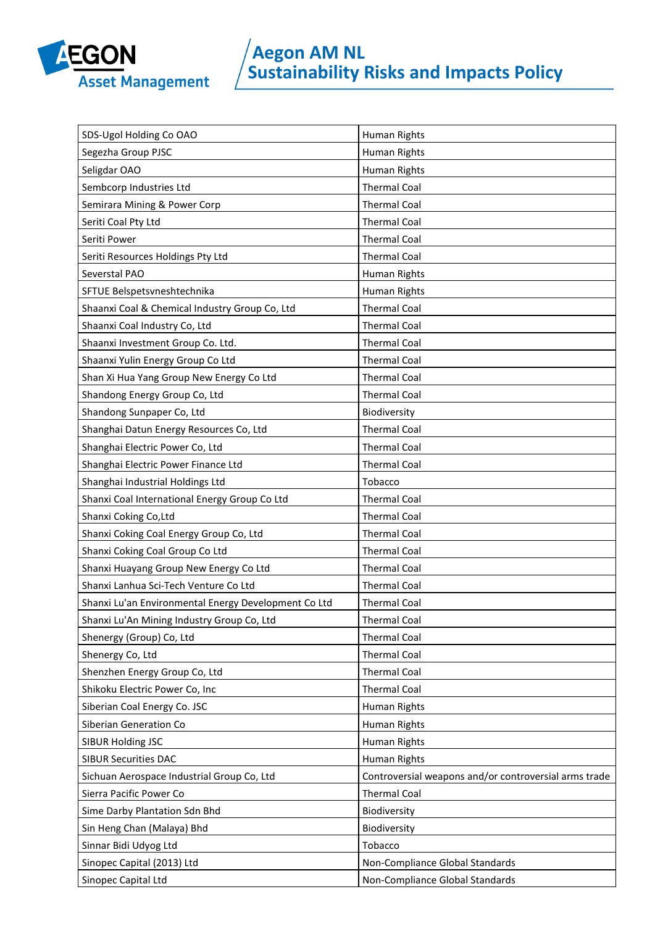

| SDS-Ugol Holding Co OAO                              | Human Rights                                          |
|------------------------------------------------------|-------------------------------------------------------|
| Segezha Group PJSC                                   | Human Rights                                          |
| Seligdar OAO                                         | Human Rights                                          |
| Sembcorp Industries Ltd                              | <b>Thermal Coal</b>                                   |
| Semirara Mining & Power Corp                         | <b>Thermal Coal</b>                                   |
| Seriti Coal Pty Ltd                                  | <b>Thermal Coal</b>                                   |
| Seriti Power                                         | <b>Thermal Coal</b>                                   |
| Seriti Resources Holdings Pty Ltd                    | <b>Thermal Coal</b>                                   |
| Severstal PAO                                        | Human Rights                                          |
| SFTUE Belspetsvneshtechnika                          | Human Rights                                          |
| Shaanxi Coal & Chemical Industry Group Co, Ltd       | <b>Thermal Coal</b>                                   |
| Shaanxi Coal Industry Co, Ltd                        | <b>Thermal Coal</b>                                   |
| Shaanxi Investment Group Co. Ltd.                    | <b>Thermal Coal</b>                                   |
| Shaanxi Yulin Energy Group Co Ltd                    | <b>Thermal Coal</b>                                   |
| Shan Xi Hua Yang Group New Energy Co Ltd             | <b>Thermal Coal</b>                                   |
| Shandong Energy Group Co, Ltd                        | <b>Thermal Coal</b>                                   |
| Shandong Sunpaper Co, Ltd                            | Biodiversity                                          |
| Shanghai Datun Energy Resources Co, Ltd              | <b>Thermal Coal</b>                                   |
| Shanghai Electric Power Co, Ltd                      | <b>Thermal Coal</b>                                   |
| Shanghai Electric Power Finance Ltd                  | <b>Thermal Coal</b>                                   |
| Shanghai Industrial Holdings Ltd                     | Tobacco                                               |
| Shanxi Coal International Energy Group Co Ltd        | <b>Thermal Coal</b>                                   |
| Shanxi Coking Co, Ltd                                | <b>Thermal Coal</b>                                   |
| Shanxi Coking Coal Energy Group Co, Ltd              | <b>Thermal Coal</b>                                   |
| Shanxi Coking Coal Group Co Ltd                      | <b>Thermal Coal</b>                                   |
| Shanxi Huayang Group New Energy Co Ltd               | <b>Thermal Coal</b>                                   |
| Shanxi Lanhua Sci-Tech Venture Co Ltd                | <b>Thermal Coal</b>                                   |
| Shanxi Lu'an Environmental Energy Development Co Ltd | <b>Thermal Coal</b>                                   |
| Shanxi Lu'An Mining Industry Group Co, Ltd           | <b>Thermal Coal</b>                                   |
| Shenergy (Group) Co, Ltd                             | <b>Thermal Coal</b>                                   |
| Shenergy Co, Ltd                                     | <b>Thermal Coal</b>                                   |
| Shenzhen Energy Group Co, Ltd                        | <b>Thermal Coal</b>                                   |
| Shikoku Electric Power Co, Inc                       | <b>Thermal Coal</b>                                   |
| Siberian Coal Energy Co. JSC                         | Human Rights                                          |
| Siberian Generation Co                               | Human Rights                                          |
| SIBUR Holding JSC                                    | Human Rights                                          |
| <b>SIBUR Securities DAC</b>                          | Human Rights                                          |
| Sichuan Aerospace Industrial Group Co, Ltd           | Controversial weapons and/or controversial arms trade |
| Sierra Pacific Power Co                              | <b>Thermal Coal</b>                                   |
| Sime Darby Plantation Sdn Bhd                        | Biodiversity                                          |
| Sin Heng Chan (Malaya) Bhd                           | Biodiversity                                          |
| Sinnar Bidi Udyog Ltd                                | Tobacco                                               |
| Sinopec Capital (2013) Ltd                           | Non-Compliance Global Standards                       |
| Sinopec Capital Ltd                                  | Non-Compliance Global Standards                       |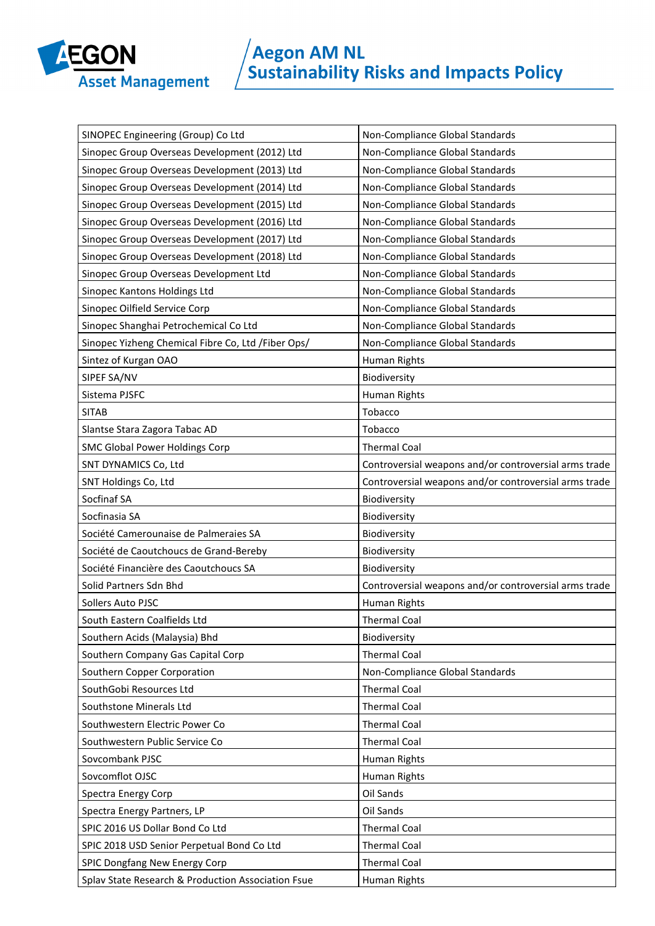

| SINOPEC Engineering (Group) Co Ltd<br>Non-Compliance Global Standards<br>Non-Compliance Global Standards<br>Sinopec Group Overseas Development (2012) Ltd<br>Sinopec Group Overseas Development (2013) Ltd<br>Non-Compliance Global Standards<br>Sinopec Group Overseas Development (2014) Ltd<br>Non-Compliance Global Standards<br>Sinopec Group Overseas Development (2015) Ltd<br>Non-Compliance Global Standards<br>Sinopec Group Overseas Development (2016) Ltd<br>Non-Compliance Global Standards<br>Sinopec Group Overseas Development (2017) Ltd<br>Non-Compliance Global Standards<br>Non-Compliance Global Standards<br>Sinopec Group Overseas Development (2018) Ltd<br>Non-Compliance Global Standards<br>Sinopec Group Overseas Development Ltd<br>Non-Compliance Global Standards<br>Sinopec Kantons Holdings Ltd<br>Sinopec Oilfield Service Corp<br>Non-Compliance Global Standards<br>Non-Compliance Global Standards<br>Sinopec Shanghai Petrochemical Co Ltd<br>Sinopec Yizheng Chemical Fibre Co, Ltd / Fiber Ops/<br>Non-Compliance Global Standards<br>Sintez of Kurgan OAO<br>Human Rights<br>SIPEF SA/NV<br>Biodiversity<br>Sistema PJSFC<br>Human Rights<br><b>SITAB</b><br>Tobacco<br>Tobacco<br>Slantse Stara Zagora Tabac AD<br>SMC Global Power Holdings Corp<br><b>Thermal Coal</b><br>Controversial weapons and/or controversial arms trade<br>SNT DYNAMICS Co, Ltd<br>SNT Holdings Co, Ltd<br>Controversial weapons and/or controversial arms trade<br>Socfinaf SA<br>Biodiversity<br>Socfinasia SA<br>Biodiversity<br>Société Camerounaise de Palmeraies SA<br>Biodiversity<br>Biodiversity<br>Société de Caoutchoucs de Grand-Bereby<br>Société Financière des Caoutchoucs SA<br>Biodiversity<br>Solid Partners Sdn Bhd<br>Controversial weapons and/or controversial arms trade<br>Human Rights<br>Sollers Auto PJSC<br>South Eastern Coalfields Ltd<br><b>Thermal Coal</b><br>Southern Acids (Malaysia) Bhd<br>Biodiversity<br>Southern Company Gas Capital Corp<br><b>Thermal Coal</b><br>Southern Copper Corporation<br>Non-Compliance Global Standards<br><b>Thermal Coal</b><br>SouthGobi Resources Ltd<br>Southstone Minerals Ltd<br><b>Thermal Coal</b><br><b>Thermal Coal</b><br>Southwestern Electric Power Co<br>Southwestern Public Service Co<br><b>Thermal Coal</b><br>Sovcombank PJSC<br>Human Rights<br>Sovcomflot OJSC<br>Human Rights<br>Oil Sands<br>Spectra Energy Corp<br>Oil Sands<br>Spectra Energy Partners, LP<br>SPIC 2016 US Dollar Bond Co Ltd<br><b>Thermal Coal</b><br><b>Thermal Coal</b><br>SPIC 2018 USD Senior Perpetual Bond Co Ltd<br><b>Thermal Coal</b><br>SPIC Dongfang New Energy Corp<br>Splav State Research & Production Association Fsue<br>Human Rights |  |
|------------------------------------------------------------------------------------------------------------------------------------------------------------------------------------------------------------------------------------------------------------------------------------------------------------------------------------------------------------------------------------------------------------------------------------------------------------------------------------------------------------------------------------------------------------------------------------------------------------------------------------------------------------------------------------------------------------------------------------------------------------------------------------------------------------------------------------------------------------------------------------------------------------------------------------------------------------------------------------------------------------------------------------------------------------------------------------------------------------------------------------------------------------------------------------------------------------------------------------------------------------------------------------------------------------------------------------------------------------------------------------------------------------------------------------------------------------------------------------------------------------------------------------------------------------------------------------------------------------------------------------------------------------------------------------------------------------------------------------------------------------------------------------------------------------------------------------------------------------------------------------------------------------------------------------------------------------------------------------------------------------------------------------------------------------------------------------------------------------------------------------------------------------------------------------------------------------------------------------------------------------------------------------------------------------------------------------------------------------------------------------------------------------------------------------------------------------------------------------------------------------------------------------------------------------------------------------------------------------------------------------------------------------------------------------------------------------------------------------------|--|
|                                                                                                                                                                                                                                                                                                                                                                                                                                                                                                                                                                                                                                                                                                                                                                                                                                                                                                                                                                                                                                                                                                                                                                                                                                                                                                                                                                                                                                                                                                                                                                                                                                                                                                                                                                                                                                                                                                                                                                                                                                                                                                                                                                                                                                                                                                                                                                                                                                                                                                                                                                                                                                                                                                                                          |  |
|                                                                                                                                                                                                                                                                                                                                                                                                                                                                                                                                                                                                                                                                                                                                                                                                                                                                                                                                                                                                                                                                                                                                                                                                                                                                                                                                                                                                                                                                                                                                                                                                                                                                                                                                                                                                                                                                                                                                                                                                                                                                                                                                                                                                                                                                                                                                                                                                                                                                                                                                                                                                                                                                                                                                          |  |
|                                                                                                                                                                                                                                                                                                                                                                                                                                                                                                                                                                                                                                                                                                                                                                                                                                                                                                                                                                                                                                                                                                                                                                                                                                                                                                                                                                                                                                                                                                                                                                                                                                                                                                                                                                                                                                                                                                                                                                                                                                                                                                                                                                                                                                                                                                                                                                                                                                                                                                                                                                                                                                                                                                                                          |  |
|                                                                                                                                                                                                                                                                                                                                                                                                                                                                                                                                                                                                                                                                                                                                                                                                                                                                                                                                                                                                                                                                                                                                                                                                                                                                                                                                                                                                                                                                                                                                                                                                                                                                                                                                                                                                                                                                                                                                                                                                                                                                                                                                                                                                                                                                                                                                                                                                                                                                                                                                                                                                                                                                                                                                          |  |
|                                                                                                                                                                                                                                                                                                                                                                                                                                                                                                                                                                                                                                                                                                                                                                                                                                                                                                                                                                                                                                                                                                                                                                                                                                                                                                                                                                                                                                                                                                                                                                                                                                                                                                                                                                                                                                                                                                                                                                                                                                                                                                                                                                                                                                                                                                                                                                                                                                                                                                                                                                                                                                                                                                                                          |  |
|                                                                                                                                                                                                                                                                                                                                                                                                                                                                                                                                                                                                                                                                                                                                                                                                                                                                                                                                                                                                                                                                                                                                                                                                                                                                                                                                                                                                                                                                                                                                                                                                                                                                                                                                                                                                                                                                                                                                                                                                                                                                                                                                                                                                                                                                                                                                                                                                                                                                                                                                                                                                                                                                                                                                          |  |
|                                                                                                                                                                                                                                                                                                                                                                                                                                                                                                                                                                                                                                                                                                                                                                                                                                                                                                                                                                                                                                                                                                                                                                                                                                                                                                                                                                                                                                                                                                                                                                                                                                                                                                                                                                                                                                                                                                                                                                                                                                                                                                                                                                                                                                                                                                                                                                                                                                                                                                                                                                                                                                                                                                                                          |  |
|                                                                                                                                                                                                                                                                                                                                                                                                                                                                                                                                                                                                                                                                                                                                                                                                                                                                                                                                                                                                                                                                                                                                                                                                                                                                                                                                                                                                                                                                                                                                                                                                                                                                                                                                                                                                                                                                                                                                                                                                                                                                                                                                                                                                                                                                                                                                                                                                                                                                                                                                                                                                                                                                                                                                          |  |
|                                                                                                                                                                                                                                                                                                                                                                                                                                                                                                                                                                                                                                                                                                                                                                                                                                                                                                                                                                                                                                                                                                                                                                                                                                                                                                                                                                                                                                                                                                                                                                                                                                                                                                                                                                                                                                                                                                                                                                                                                                                                                                                                                                                                                                                                                                                                                                                                                                                                                                                                                                                                                                                                                                                                          |  |
|                                                                                                                                                                                                                                                                                                                                                                                                                                                                                                                                                                                                                                                                                                                                                                                                                                                                                                                                                                                                                                                                                                                                                                                                                                                                                                                                                                                                                                                                                                                                                                                                                                                                                                                                                                                                                                                                                                                                                                                                                                                                                                                                                                                                                                                                                                                                                                                                                                                                                                                                                                                                                                                                                                                                          |  |
|                                                                                                                                                                                                                                                                                                                                                                                                                                                                                                                                                                                                                                                                                                                                                                                                                                                                                                                                                                                                                                                                                                                                                                                                                                                                                                                                                                                                                                                                                                                                                                                                                                                                                                                                                                                                                                                                                                                                                                                                                                                                                                                                                                                                                                                                                                                                                                                                                                                                                                                                                                                                                                                                                                                                          |  |
|                                                                                                                                                                                                                                                                                                                                                                                                                                                                                                                                                                                                                                                                                                                                                                                                                                                                                                                                                                                                                                                                                                                                                                                                                                                                                                                                                                                                                                                                                                                                                                                                                                                                                                                                                                                                                                                                                                                                                                                                                                                                                                                                                                                                                                                                                                                                                                                                                                                                                                                                                                                                                                                                                                                                          |  |
|                                                                                                                                                                                                                                                                                                                                                                                                                                                                                                                                                                                                                                                                                                                                                                                                                                                                                                                                                                                                                                                                                                                                                                                                                                                                                                                                                                                                                                                                                                                                                                                                                                                                                                                                                                                                                                                                                                                                                                                                                                                                                                                                                                                                                                                                                                                                                                                                                                                                                                                                                                                                                                                                                                                                          |  |
|                                                                                                                                                                                                                                                                                                                                                                                                                                                                                                                                                                                                                                                                                                                                                                                                                                                                                                                                                                                                                                                                                                                                                                                                                                                                                                                                                                                                                                                                                                                                                                                                                                                                                                                                                                                                                                                                                                                                                                                                                                                                                                                                                                                                                                                                                                                                                                                                                                                                                                                                                                                                                                                                                                                                          |  |
|                                                                                                                                                                                                                                                                                                                                                                                                                                                                                                                                                                                                                                                                                                                                                                                                                                                                                                                                                                                                                                                                                                                                                                                                                                                                                                                                                                                                                                                                                                                                                                                                                                                                                                                                                                                                                                                                                                                                                                                                                                                                                                                                                                                                                                                                                                                                                                                                                                                                                                                                                                                                                                                                                                                                          |  |
|                                                                                                                                                                                                                                                                                                                                                                                                                                                                                                                                                                                                                                                                                                                                                                                                                                                                                                                                                                                                                                                                                                                                                                                                                                                                                                                                                                                                                                                                                                                                                                                                                                                                                                                                                                                                                                                                                                                                                                                                                                                                                                                                                                                                                                                                                                                                                                                                                                                                                                                                                                                                                                                                                                                                          |  |
|                                                                                                                                                                                                                                                                                                                                                                                                                                                                                                                                                                                                                                                                                                                                                                                                                                                                                                                                                                                                                                                                                                                                                                                                                                                                                                                                                                                                                                                                                                                                                                                                                                                                                                                                                                                                                                                                                                                                                                                                                                                                                                                                                                                                                                                                                                                                                                                                                                                                                                                                                                                                                                                                                                                                          |  |
|                                                                                                                                                                                                                                                                                                                                                                                                                                                                                                                                                                                                                                                                                                                                                                                                                                                                                                                                                                                                                                                                                                                                                                                                                                                                                                                                                                                                                                                                                                                                                                                                                                                                                                                                                                                                                                                                                                                                                                                                                                                                                                                                                                                                                                                                                                                                                                                                                                                                                                                                                                                                                                                                                                                                          |  |
|                                                                                                                                                                                                                                                                                                                                                                                                                                                                                                                                                                                                                                                                                                                                                                                                                                                                                                                                                                                                                                                                                                                                                                                                                                                                                                                                                                                                                                                                                                                                                                                                                                                                                                                                                                                                                                                                                                                                                                                                                                                                                                                                                                                                                                                                                                                                                                                                                                                                                                                                                                                                                                                                                                                                          |  |
|                                                                                                                                                                                                                                                                                                                                                                                                                                                                                                                                                                                                                                                                                                                                                                                                                                                                                                                                                                                                                                                                                                                                                                                                                                                                                                                                                                                                                                                                                                                                                                                                                                                                                                                                                                                                                                                                                                                                                                                                                                                                                                                                                                                                                                                                                                                                                                                                                                                                                                                                                                                                                                                                                                                                          |  |
|                                                                                                                                                                                                                                                                                                                                                                                                                                                                                                                                                                                                                                                                                                                                                                                                                                                                                                                                                                                                                                                                                                                                                                                                                                                                                                                                                                                                                                                                                                                                                                                                                                                                                                                                                                                                                                                                                                                                                                                                                                                                                                                                                                                                                                                                                                                                                                                                                                                                                                                                                                                                                                                                                                                                          |  |
|                                                                                                                                                                                                                                                                                                                                                                                                                                                                                                                                                                                                                                                                                                                                                                                                                                                                                                                                                                                                                                                                                                                                                                                                                                                                                                                                                                                                                                                                                                                                                                                                                                                                                                                                                                                                                                                                                                                                                                                                                                                                                                                                                                                                                                                                                                                                                                                                                                                                                                                                                                                                                                                                                                                                          |  |
|                                                                                                                                                                                                                                                                                                                                                                                                                                                                                                                                                                                                                                                                                                                                                                                                                                                                                                                                                                                                                                                                                                                                                                                                                                                                                                                                                                                                                                                                                                                                                                                                                                                                                                                                                                                                                                                                                                                                                                                                                                                                                                                                                                                                                                                                                                                                                                                                                                                                                                                                                                                                                                                                                                                                          |  |
|                                                                                                                                                                                                                                                                                                                                                                                                                                                                                                                                                                                                                                                                                                                                                                                                                                                                                                                                                                                                                                                                                                                                                                                                                                                                                                                                                                                                                                                                                                                                                                                                                                                                                                                                                                                                                                                                                                                                                                                                                                                                                                                                                                                                                                                                                                                                                                                                                                                                                                                                                                                                                                                                                                                                          |  |
|                                                                                                                                                                                                                                                                                                                                                                                                                                                                                                                                                                                                                                                                                                                                                                                                                                                                                                                                                                                                                                                                                                                                                                                                                                                                                                                                                                                                                                                                                                                                                                                                                                                                                                                                                                                                                                                                                                                                                                                                                                                                                                                                                                                                                                                                                                                                                                                                                                                                                                                                                                                                                                                                                                                                          |  |
|                                                                                                                                                                                                                                                                                                                                                                                                                                                                                                                                                                                                                                                                                                                                                                                                                                                                                                                                                                                                                                                                                                                                                                                                                                                                                                                                                                                                                                                                                                                                                                                                                                                                                                                                                                                                                                                                                                                                                                                                                                                                                                                                                                                                                                                                                                                                                                                                                                                                                                                                                                                                                                                                                                                                          |  |
|                                                                                                                                                                                                                                                                                                                                                                                                                                                                                                                                                                                                                                                                                                                                                                                                                                                                                                                                                                                                                                                                                                                                                                                                                                                                                                                                                                                                                                                                                                                                                                                                                                                                                                                                                                                                                                                                                                                                                                                                                                                                                                                                                                                                                                                                                                                                                                                                                                                                                                                                                                                                                                                                                                                                          |  |
|                                                                                                                                                                                                                                                                                                                                                                                                                                                                                                                                                                                                                                                                                                                                                                                                                                                                                                                                                                                                                                                                                                                                                                                                                                                                                                                                                                                                                                                                                                                                                                                                                                                                                                                                                                                                                                                                                                                                                                                                                                                                                                                                                                                                                                                                                                                                                                                                                                                                                                                                                                                                                                                                                                                                          |  |
|                                                                                                                                                                                                                                                                                                                                                                                                                                                                                                                                                                                                                                                                                                                                                                                                                                                                                                                                                                                                                                                                                                                                                                                                                                                                                                                                                                                                                                                                                                                                                                                                                                                                                                                                                                                                                                                                                                                                                                                                                                                                                                                                                                                                                                                                                                                                                                                                                                                                                                                                                                                                                                                                                                                                          |  |
|                                                                                                                                                                                                                                                                                                                                                                                                                                                                                                                                                                                                                                                                                                                                                                                                                                                                                                                                                                                                                                                                                                                                                                                                                                                                                                                                                                                                                                                                                                                                                                                                                                                                                                                                                                                                                                                                                                                                                                                                                                                                                                                                                                                                                                                                                                                                                                                                                                                                                                                                                                                                                                                                                                                                          |  |
|                                                                                                                                                                                                                                                                                                                                                                                                                                                                                                                                                                                                                                                                                                                                                                                                                                                                                                                                                                                                                                                                                                                                                                                                                                                                                                                                                                                                                                                                                                                                                                                                                                                                                                                                                                                                                                                                                                                                                                                                                                                                                                                                                                                                                                                                                                                                                                                                                                                                                                                                                                                                                                                                                                                                          |  |
|                                                                                                                                                                                                                                                                                                                                                                                                                                                                                                                                                                                                                                                                                                                                                                                                                                                                                                                                                                                                                                                                                                                                                                                                                                                                                                                                                                                                                                                                                                                                                                                                                                                                                                                                                                                                                                                                                                                                                                                                                                                                                                                                                                                                                                                                                                                                                                                                                                                                                                                                                                                                                                                                                                                                          |  |
|                                                                                                                                                                                                                                                                                                                                                                                                                                                                                                                                                                                                                                                                                                                                                                                                                                                                                                                                                                                                                                                                                                                                                                                                                                                                                                                                                                                                                                                                                                                                                                                                                                                                                                                                                                                                                                                                                                                                                                                                                                                                                                                                                                                                                                                                                                                                                                                                                                                                                                                                                                                                                                                                                                                                          |  |
|                                                                                                                                                                                                                                                                                                                                                                                                                                                                                                                                                                                                                                                                                                                                                                                                                                                                                                                                                                                                                                                                                                                                                                                                                                                                                                                                                                                                                                                                                                                                                                                                                                                                                                                                                                                                                                                                                                                                                                                                                                                                                                                                                                                                                                                                                                                                                                                                                                                                                                                                                                                                                                                                                                                                          |  |
|                                                                                                                                                                                                                                                                                                                                                                                                                                                                                                                                                                                                                                                                                                                                                                                                                                                                                                                                                                                                                                                                                                                                                                                                                                                                                                                                                                                                                                                                                                                                                                                                                                                                                                                                                                                                                                                                                                                                                                                                                                                                                                                                                                                                                                                                                                                                                                                                                                                                                                                                                                                                                                                                                                                                          |  |
|                                                                                                                                                                                                                                                                                                                                                                                                                                                                                                                                                                                                                                                                                                                                                                                                                                                                                                                                                                                                                                                                                                                                                                                                                                                                                                                                                                                                                                                                                                                                                                                                                                                                                                                                                                                                                                                                                                                                                                                                                                                                                                                                                                                                                                                                                                                                                                                                                                                                                                                                                                                                                                                                                                                                          |  |
|                                                                                                                                                                                                                                                                                                                                                                                                                                                                                                                                                                                                                                                                                                                                                                                                                                                                                                                                                                                                                                                                                                                                                                                                                                                                                                                                                                                                                                                                                                                                                                                                                                                                                                                                                                                                                                                                                                                                                                                                                                                                                                                                                                                                                                                                                                                                                                                                                                                                                                                                                                                                                                                                                                                                          |  |
|                                                                                                                                                                                                                                                                                                                                                                                                                                                                                                                                                                                                                                                                                                                                                                                                                                                                                                                                                                                                                                                                                                                                                                                                                                                                                                                                                                                                                                                                                                                                                                                                                                                                                                                                                                                                                                                                                                                                                                                                                                                                                                                                                                                                                                                                                                                                                                                                                                                                                                                                                                                                                                                                                                                                          |  |
|                                                                                                                                                                                                                                                                                                                                                                                                                                                                                                                                                                                                                                                                                                                                                                                                                                                                                                                                                                                                                                                                                                                                                                                                                                                                                                                                                                                                                                                                                                                                                                                                                                                                                                                                                                                                                                                                                                                                                                                                                                                                                                                                                                                                                                                                                                                                                                                                                                                                                                                                                                                                                                                                                                                                          |  |
|                                                                                                                                                                                                                                                                                                                                                                                                                                                                                                                                                                                                                                                                                                                                                                                                                                                                                                                                                                                                                                                                                                                                                                                                                                                                                                                                                                                                                                                                                                                                                                                                                                                                                                                                                                                                                                                                                                                                                                                                                                                                                                                                                                                                                                                                                                                                                                                                                                                                                                                                                                                                                                                                                                                                          |  |
|                                                                                                                                                                                                                                                                                                                                                                                                                                                                                                                                                                                                                                                                                                                                                                                                                                                                                                                                                                                                                                                                                                                                                                                                                                                                                                                                                                                                                                                                                                                                                                                                                                                                                                                                                                                                                                                                                                                                                                                                                                                                                                                                                                                                                                                                                                                                                                                                                                                                                                                                                                                                                                                                                                                                          |  |
|                                                                                                                                                                                                                                                                                                                                                                                                                                                                                                                                                                                                                                                                                                                                                                                                                                                                                                                                                                                                                                                                                                                                                                                                                                                                                                                                                                                                                                                                                                                                                                                                                                                                                                                                                                                                                                                                                                                                                                                                                                                                                                                                                                                                                                                                                                                                                                                                                                                                                                                                                                                                                                                                                                                                          |  |
|                                                                                                                                                                                                                                                                                                                                                                                                                                                                                                                                                                                                                                                                                                                                                                                                                                                                                                                                                                                                                                                                                                                                                                                                                                                                                                                                                                                                                                                                                                                                                                                                                                                                                                                                                                                                                                                                                                                                                                                                                                                                                                                                                                                                                                                                                                                                                                                                                                                                                                                                                                                                                                                                                                                                          |  |
|                                                                                                                                                                                                                                                                                                                                                                                                                                                                                                                                                                                                                                                                                                                                                                                                                                                                                                                                                                                                                                                                                                                                                                                                                                                                                                                                                                                                                                                                                                                                                                                                                                                                                                                                                                                                                                                                                                                                                                                                                                                                                                                                                                                                                                                                                                                                                                                                                                                                                                                                                                                                                                                                                                                                          |  |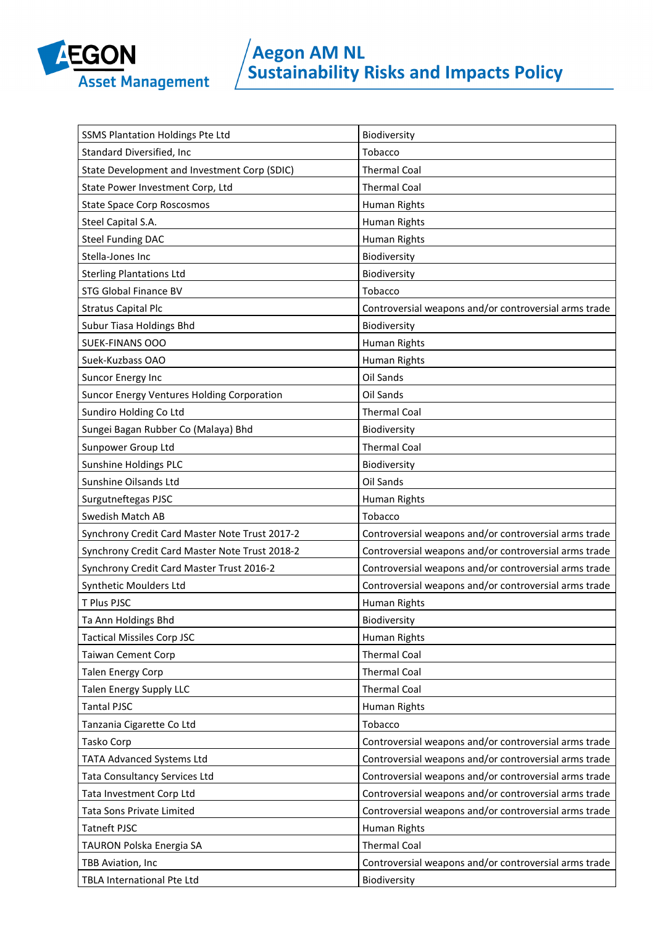

| SSMS Plantation Holdings Pte Ltd               | Biodiversity                                          |
|------------------------------------------------|-------------------------------------------------------|
| Standard Diversified, Inc                      | Tobacco                                               |
| State Development and Investment Corp (SDIC)   | <b>Thermal Coal</b>                                   |
| State Power Investment Corp, Ltd               | <b>Thermal Coal</b>                                   |
| <b>State Space Corp Roscosmos</b>              | Human Rights                                          |
| Steel Capital S.A.                             | Human Rights                                          |
| <b>Steel Funding DAC</b>                       | Human Rights                                          |
| Stella-Jones Inc                               | Biodiversity                                          |
| <b>Sterling Plantations Ltd</b>                | Biodiversity                                          |
| <b>STG Global Finance BV</b>                   | Tobacco                                               |
| <b>Stratus Capital Plc</b>                     | Controversial weapons and/or controversial arms trade |
| Subur Tiasa Holdings Bhd                       | Biodiversity                                          |
| <b>SUEK-FINANS OOO</b>                         | Human Rights                                          |
| Suek-Kuzbass OAO                               | Human Rights                                          |
| Suncor Energy Inc                              | Oil Sands                                             |
| Suncor Energy Ventures Holding Corporation     | Oil Sands                                             |
| Sundiro Holding Co Ltd                         | <b>Thermal Coal</b>                                   |
| Sungei Bagan Rubber Co (Malaya) Bhd            | Biodiversity                                          |
| Sunpower Group Ltd                             | <b>Thermal Coal</b>                                   |
| Sunshine Holdings PLC                          | Biodiversity                                          |
| Sunshine Oilsands Ltd                          | Oil Sands                                             |
| Surgutneftegas PJSC                            | Human Rights                                          |
| Swedish Match AB                               | Tobacco                                               |
| Synchrony Credit Card Master Note Trust 2017-2 | Controversial weapons and/or controversial arms trade |
| Synchrony Credit Card Master Note Trust 2018-2 | Controversial weapons and/or controversial arms trade |
| Synchrony Credit Card Master Trust 2016-2      | Controversial weapons and/or controversial arms trade |
| Synthetic Moulders Ltd                         | Controversial weapons and/or controversial arms trade |
| T Plus PJSC                                    | Human Rights                                          |
| Ta Ann Holdings Bhd                            | Biodiversity                                          |
| <b>Tactical Missiles Corp JSC</b>              | Human Rights                                          |
| <b>Taiwan Cement Corp</b>                      | <b>Thermal Coal</b>                                   |
| <b>Talen Energy Corp</b>                       | <b>Thermal Coal</b>                                   |
| Talen Energy Supply LLC                        | <b>Thermal Coal</b>                                   |
| <b>Tantal PJSC</b>                             | Human Rights                                          |
| Tanzania Cigarette Co Ltd                      | Tobacco                                               |
| Tasko Corp                                     | Controversial weapons and/or controversial arms trade |
| <b>TATA Advanced Systems Ltd</b>               | Controversial weapons and/or controversial arms trade |
| Tata Consultancy Services Ltd                  | Controversial weapons and/or controversial arms trade |
| Tata Investment Corp Ltd                       | Controversial weapons and/or controversial arms trade |
| Tata Sons Private Limited                      | Controversial weapons and/or controversial arms trade |
| <b>Tatneft PJSC</b>                            | Human Rights                                          |
| TAURON Polska Energia SA                       | <b>Thermal Coal</b>                                   |
| TBB Aviation, Inc                              | Controversial weapons and/or controversial arms trade |
| TBLA International Pte Ltd                     | Biodiversity                                          |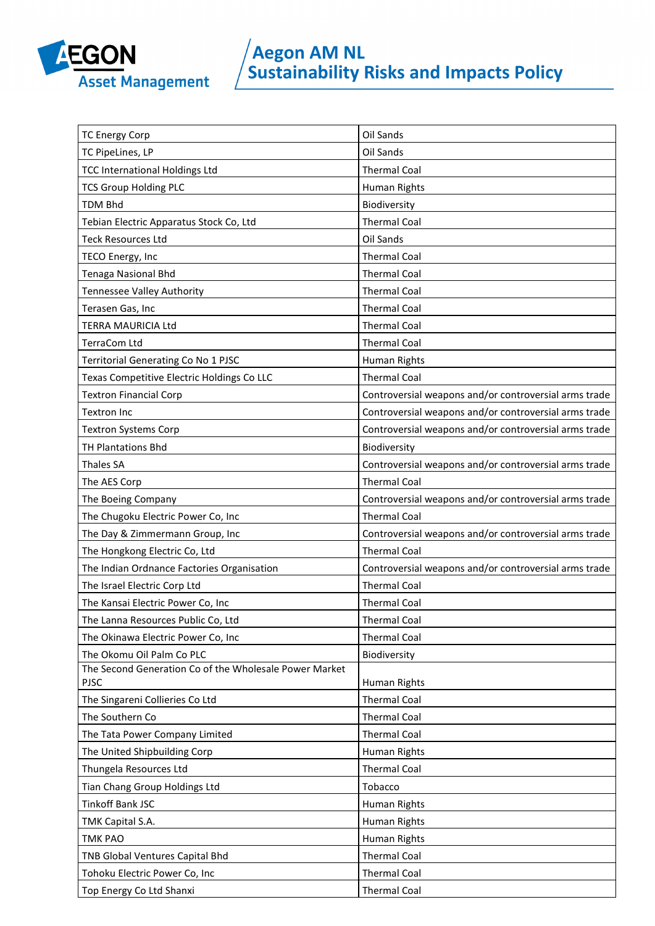

| <b>TC Energy Corp</b>                                                 | Oil Sands                                             |
|-----------------------------------------------------------------------|-------------------------------------------------------|
| TC PipeLines, LP                                                      | Oil Sands                                             |
| <b>TCC International Holdings Ltd</b>                                 | <b>Thermal Coal</b>                                   |
| <b>TCS Group Holding PLC</b>                                          | Human Rights                                          |
| <b>TDM Bhd</b>                                                        | Biodiversity                                          |
| Tebian Electric Apparatus Stock Co, Ltd                               | <b>Thermal Coal</b>                                   |
| <b>Teck Resources Ltd</b>                                             | Oil Sands                                             |
| TECO Energy, Inc                                                      | <b>Thermal Coal</b>                                   |
| Tenaga Nasional Bhd                                                   | <b>Thermal Coal</b>                                   |
| Tennessee Valley Authority                                            | <b>Thermal Coal</b>                                   |
| Terasen Gas, Inc                                                      | <b>Thermal Coal</b>                                   |
| TERRA MAURICIA Ltd                                                    | <b>Thermal Coal</b>                                   |
| <b>TerraCom Ltd</b>                                                   | <b>Thermal Coal</b>                                   |
| Territorial Generating Co No 1 PJSC                                   | Human Rights                                          |
| Texas Competitive Electric Holdings Co LLC                            | <b>Thermal Coal</b>                                   |
| <b>Textron Financial Corp</b>                                         | Controversial weapons and/or controversial arms trade |
| <b>Textron Inc</b>                                                    | Controversial weapons and/or controversial arms trade |
| <b>Textron Systems Corp</b>                                           | Controversial weapons and/or controversial arms trade |
| <b>TH Plantations Bhd</b>                                             | Biodiversity                                          |
| <b>Thales SA</b>                                                      | Controversial weapons and/or controversial arms trade |
| The AES Corp                                                          | <b>Thermal Coal</b>                                   |
| The Boeing Company                                                    | Controversial weapons and/or controversial arms trade |
| The Chugoku Electric Power Co, Inc                                    | <b>Thermal Coal</b>                                   |
| The Day & Zimmermann Group, Inc                                       | Controversial weapons and/or controversial arms trade |
| The Hongkong Electric Co, Ltd                                         | <b>Thermal Coal</b>                                   |
| The Indian Ordnance Factories Organisation                            | Controversial weapons and/or controversial arms trade |
| The Israel Electric Corp Ltd                                          | <b>Thermal Coal</b>                                   |
| The Kansai Electric Power Co, Inc                                     | <b>Thermal Coal</b>                                   |
| The Lanna Resources Public Co, Ltd                                    | <b>Thermal Coal</b>                                   |
| The Okinawa Electric Power Co, Inc                                    | <b>Thermal Coal</b>                                   |
| The Okomu Oil Palm Co PLC                                             | Biodiversity                                          |
| The Second Generation Co of the Wholesale Power Market<br><b>PJSC</b> | Human Rights                                          |
| The Singareni Collieries Co Ltd                                       | <b>Thermal Coal</b>                                   |
| The Southern Co                                                       | <b>Thermal Coal</b>                                   |
| The Tata Power Company Limited                                        | <b>Thermal Coal</b>                                   |
| The United Shipbuilding Corp                                          | Human Rights                                          |
| Thungela Resources Ltd                                                | <b>Thermal Coal</b>                                   |
| Tian Chang Group Holdings Ltd                                         | Tobacco                                               |
| <b>Tinkoff Bank JSC</b>                                               | Human Rights                                          |
| TMK Capital S.A.                                                      | Human Rights                                          |
| <b>TMK PAO</b>                                                        | Human Rights                                          |
| TNB Global Ventures Capital Bhd                                       | <b>Thermal Coal</b>                                   |
| Tohoku Electric Power Co, Inc                                         | <b>Thermal Coal</b>                                   |
| Top Energy Co Ltd Shanxi                                              | <b>Thermal Coal</b>                                   |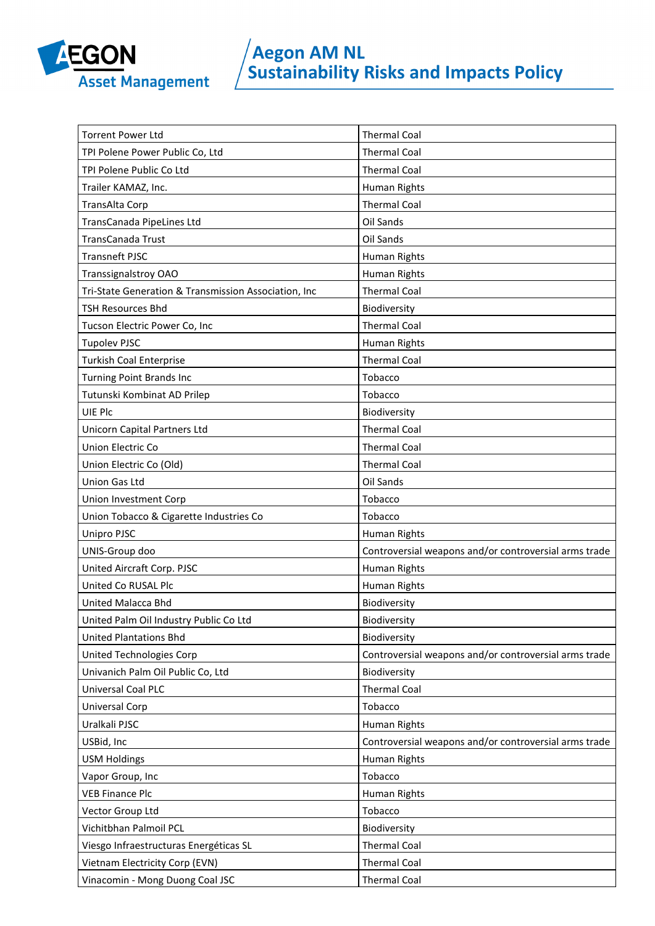

| <b>Torrent Power Ltd</b>                             | <b>Thermal Coal</b>                                   |
|------------------------------------------------------|-------------------------------------------------------|
| TPI Polene Power Public Co, Ltd                      | <b>Thermal Coal</b>                                   |
| TPI Polene Public Co Ltd                             | <b>Thermal Coal</b>                                   |
| Trailer KAMAZ, Inc.                                  | Human Rights                                          |
| TransAlta Corp                                       | <b>Thermal Coal</b>                                   |
| TransCanada PipeLines Ltd                            | Oil Sands                                             |
| TransCanada Trust                                    | Oil Sands                                             |
| <b>Transneft PJSC</b>                                | Human Rights                                          |
| Transsignalstroy OAO                                 | Human Rights                                          |
| Tri-State Generation & Transmission Association, Inc | <b>Thermal Coal</b>                                   |
| <b>TSH Resources Bhd</b>                             | Biodiversity                                          |
| Tucson Electric Power Co, Inc                        | <b>Thermal Coal</b>                                   |
| <b>Tupolev PJSC</b>                                  | Human Rights                                          |
| <b>Turkish Coal Enterprise</b>                       | <b>Thermal Coal</b>                                   |
| <b>Turning Point Brands Inc</b>                      | Tobacco                                               |
| Tutunski Kombinat AD Prilep                          | Tobacco                                               |
| UIE Plc                                              | Biodiversity                                          |
| Unicorn Capital Partners Ltd                         | <b>Thermal Coal</b>                                   |
| Union Electric Co                                    | <b>Thermal Coal</b>                                   |
| Union Electric Co (Old)                              | <b>Thermal Coal</b>                                   |
| Union Gas Ltd                                        | Oil Sands                                             |
| Union Investment Corp                                | Tobacco                                               |
| Union Tobacco & Cigarette Industries Co              | Tobacco                                               |
| Unipro PJSC                                          | Human Rights                                          |
| UNIS-Group doo                                       | Controversial weapons and/or controversial arms trade |
| United Aircraft Corp. PJSC                           | Human Rights                                          |
| United Co RUSAL Plc                                  | Human Rights                                          |
| United Malacca Bhd                                   | Biodiversity                                          |
| United Palm Oil Industry Public Co Ltd               | Biodiversity                                          |
| <b>United Plantations Bhd</b>                        | Biodiversity                                          |
| United Technologies Corp                             | Controversial weapons and/or controversial arms trade |
| Univanich Palm Oil Public Co, Ltd                    | Biodiversity                                          |
| Universal Coal PLC                                   | <b>Thermal Coal</b>                                   |
| Universal Corp                                       | Tobacco                                               |
| Uralkali PJSC                                        | Human Rights                                          |
| USBid, Inc                                           | Controversial weapons and/or controversial arms trade |
| <b>USM Holdings</b>                                  | Human Rights                                          |
| Vapor Group, Inc                                     | Tobacco                                               |
| <b>VEB Finance Plc</b>                               | Human Rights                                          |
| Vector Group Ltd                                     | Tobacco                                               |
| Vichitbhan Palmoil PCL                               | Biodiversity                                          |
| Viesgo Infraestructuras Energéticas SL               | <b>Thermal Coal</b>                                   |
| Vietnam Electricity Corp (EVN)                       | <b>Thermal Coal</b>                                   |
| Vinacomin - Mong Duong Coal JSC                      | <b>Thermal Coal</b>                                   |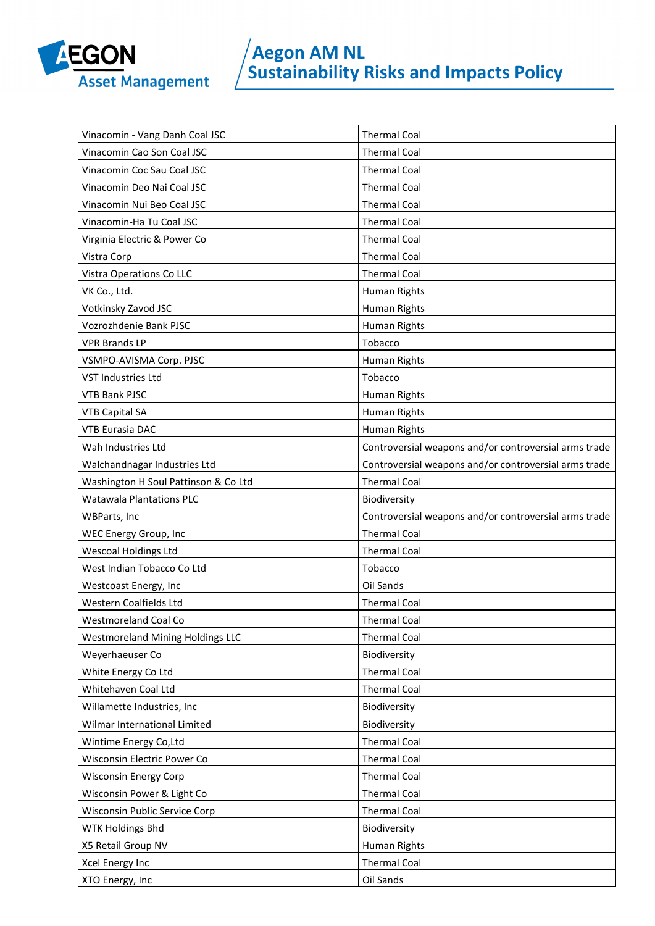

| Vinacomin - Vang Danh Coal JSC          | <b>Thermal Coal</b>                                   |
|-----------------------------------------|-------------------------------------------------------|
| Vinacomin Cao Son Coal JSC              | <b>Thermal Coal</b>                                   |
| Vinacomin Coc Sau Coal JSC              | <b>Thermal Coal</b>                                   |
| Vinacomin Deo Nai Coal JSC              | <b>Thermal Coal</b>                                   |
| Vinacomin Nui Beo Coal JSC              | <b>Thermal Coal</b>                                   |
| Vinacomin-Ha Tu Coal JSC                | <b>Thermal Coal</b>                                   |
| Virginia Electric & Power Co            | <b>Thermal Coal</b>                                   |
| Vistra Corp                             | <b>Thermal Coal</b>                                   |
| Vistra Operations Co LLC                | <b>Thermal Coal</b>                                   |
| VK Co., Ltd.                            | Human Rights                                          |
| Votkinsky Zavod JSC                     | Human Rights                                          |
| Vozrozhdenie Bank PJSC                  | Human Rights                                          |
| <b>VPR Brands LP</b>                    | Tobacco                                               |
| VSMPO-AVISMA Corp. PJSC                 | Human Rights                                          |
| VST Industries Ltd                      | Tobacco                                               |
| <b>VTB Bank PJSC</b>                    | Human Rights                                          |
| <b>VTB Capital SA</b>                   | Human Rights                                          |
| <b>VTB Eurasia DAC</b>                  | Human Rights                                          |
| Wah Industries Ltd                      | Controversial weapons and/or controversial arms trade |
| Walchandnagar Industries Ltd            | Controversial weapons and/or controversial arms trade |
| Washington H Soul Pattinson & Co Ltd    | <b>Thermal Coal</b>                                   |
| <b>Watawala Plantations PLC</b>         | Biodiversity                                          |
|                                         |                                                       |
| <b>WBParts, Inc</b>                     | Controversial weapons and/or controversial arms trade |
| WEC Energy Group, Inc                   | <b>Thermal Coal</b>                                   |
| <b>Wescoal Holdings Ltd</b>             | <b>Thermal Coal</b>                                   |
| West Indian Tobacco Co Ltd              | Tobacco                                               |
| Westcoast Energy, Inc                   | Oil Sands                                             |
| Western Coalfields Ltd                  | <b>Thermal Coal</b>                                   |
| Westmoreland Coal Co                    | Thermal Coal                                          |
| <b>Westmoreland Mining Holdings LLC</b> | <b>Thermal Coal</b>                                   |
| Weyerhaeuser Co                         | Biodiversity                                          |
| White Energy Co Ltd                     | <b>Thermal Coal</b>                                   |
| Whitehaven Coal Ltd                     | <b>Thermal Coal</b>                                   |
| Willamette Industries, Inc              | Biodiversity                                          |
| Wilmar International Limited            | Biodiversity                                          |
| Wintime Energy Co, Ltd                  | <b>Thermal Coal</b>                                   |
| Wisconsin Electric Power Co             | <b>Thermal Coal</b>                                   |
| <b>Wisconsin Energy Corp</b>            | <b>Thermal Coal</b>                                   |
| Wisconsin Power & Light Co              | <b>Thermal Coal</b>                                   |
| Wisconsin Public Service Corp           | <b>Thermal Coal</b>                                   |
| WTK Holdings Bhd                        | Biodiversity                                          |
| X5 Retail Group NV                      | Human Rights                                          |
| Xcel Energy Inc                         | <b>Thermal Coal</b>                                   |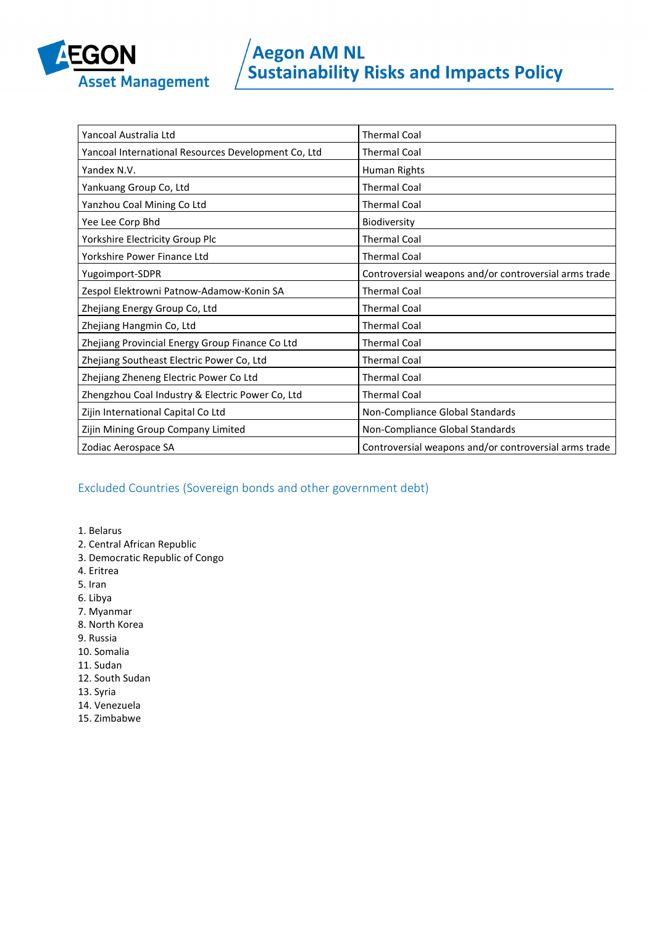

| Yancoal Australia Ltd                               | <b>Thermal Coal</b>                                   |
|-----------------------------------------------------|-------------------------------------------------------|
| Yancoal International Resources Development Co, Ltd | <b>Thermal Coal</b>                                   |
| Yandex N.V.                                         | Human Rights                                          |
| Yankuang Group Co, Ltd                              | <b>Thermal Coal</b>                                   |
| Yanzhou Coal Mining Co Ltd                          | <b>Thermal Coal</b>                                   |
| Yee Lee Corp Bhd                                    | Biodiversity                                          |
| Yorkshire Electricity Group Plc                     | <b>Thermal Coal</b>                                   |
| Yorkshire Power Finance Ltd                         | <b>Thermal Coal</b>                                   |
| Yugoimport-SDPR                                     | Controversial weapons and/or controversial arms trade |
| Zespol Elektrowni Patnow-Adamow-Konin SA            | <b>Thermal Coal</b>                                   |
| Zhejiang Energy Group Co, Ltd                       | <b>Thermal Coal</b>                                   |
| Zhejiang Hangmin Co, Ltd                            | <b>Thermal Coal</b>                                   |
| Zhejiang Provincial Energy Group Finance Co Ltd     | <b>Thermal Coal</b>                                   |
| Zhejiang Southeast Electric Power Co, Ltd           | <b>Thermal Coal</b>                                   |
| Zhejiang Zheneng Electric Power Co Ltd              | <b>Thermal Coal</b>                                   |
| Zhengzhou Coal Industry & Electric Power Co, Ltd    | <b>Thermal Coal</b>                                   |
| Zijin International Capital Co Ltd                  | Non-Compliance Global Standards                       |
| Zijin Mining Group Company Limited                  | Non-Compliance Global Standards                       |
| Zodiac Aerospace SA                                 | Controversial weapons and/or controversial arms trade |

### Excluded Countries (Sovereign bonds and other government debt)

1. Belarus

- 2. Central African Republic
- 3. Democratic Republic of Congo
- 4. Eritrea
- 5. Iran
- 6. Libya
- 7. Myanmar
- 8. North Korea
- 9. Russia
- 10. Somalia
- 11. Sudan
- 12. South Sudan
- 13. Syria
- 14. Venezuela
- 15. Zimbabwe